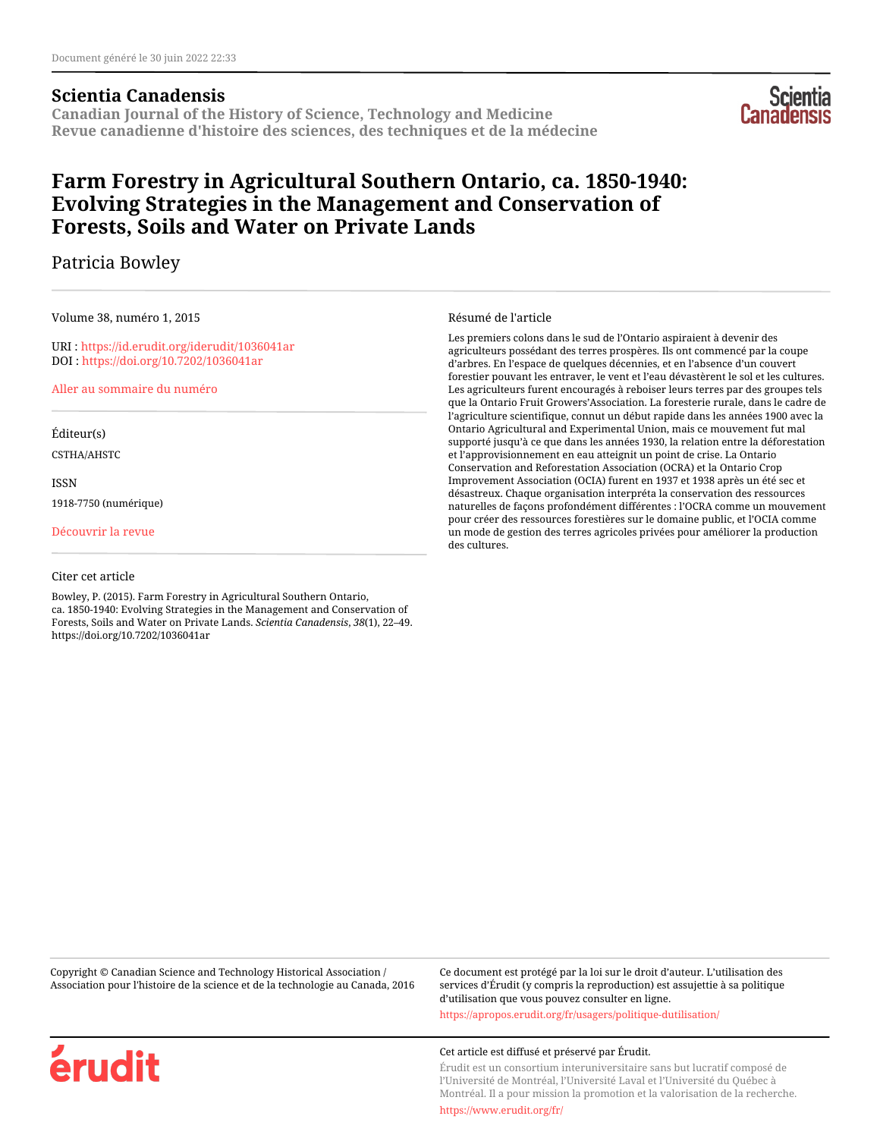## **Scientia Canadensis**

**Canadian Journal of the History of Science, Technology and Medicine Revue canadienne d'histoire des sciences, des techniques et de la médecine**



# **Farm Forestry in Agricultural Southern Ontario, ca. 1850-1940: Evolving Strategies in the Management and Conservation of Forests, Soils and Water on Private Lands**

# Patricia Bowley

Volume 38, numéro 1, 2015

URI :<https://id.erudit.org/iderudit/1036041ar> DOI :<https://doi.org/10.7202/1036041ar>

[Aller au sommaire du numéro](https://www.erudit.org/fr/revues/scientia/2015-v38-n1-scientia02451/)

Éditeur(s)

CSTHA/AHSTC

ISSN

1918-7750 (numérique)

[Découvrir la revue](https://www.erudit.org/fr/revues/scientia/)

#### Citer cet article

Bowley, P. (2015). Farm Forestry in Agricultural Southern Ontario, ca. 1850-1940: Evolving Strategies in the Management and Conservation of Forests, Soils and Water on Private Lands. *Scientia Canadensis*, *38*(1), 22–49. https://doi.org/10.7202/1036041ar

#### Résumé de l'article

Les premiers colons dans le sud de l'Ontario aspiraient à devenir des agriculteurs possédant des terres prospères. Ils ont commencé par la coupe d'arbres. En l'espace de quelques décennies, et en l'absence d'un couvert forestier pouvant les entraver, le vent et l'eau dévastèrent le sol et les cultures. Les agriculteurs furent encouragés à reboiser leurs terres par des groupes tels que la Ontario Fruit Growers'Association. La foresterie rurale, dans le cadre de l'agriculture scientifique, connut un début rapide dans les années 1900 avec la Ontario Agricultural and Experimental Union, mais ce mouvement fut mal supporté jusqu'à ce que dans les années 1930, la relation entre la déforestation et l'approvisionnement en eau atteignit un point de crise. La Ontario Conservation and Reforestation Association (OCRA) et la Ontario Crop Improvement Association (OCIA) furent en 1937 et 1938 après un été sec et désastreux. Chaque organisation interpréta la conservation des ressources naturelles de façons profondément différentes : l'OCRA comme un mouvement pour créer des ressources forestières sur le domaine public, et l'OCIA comme un mode de gestion des terres agricoles privées pour améliorer la production des cultures.

Copyright © Canadian Science and Technology Historical Association / Association pour l'histoire de la science et de la technologie au Canada, 2016 Ce document est protégé par la loi sur le droit d'auteur. L'utilisation des services d'Érudit (y compris la reproduction) est assujettie à sa politique d'utilisation que vous pouvez consulter en ligne.

<https://apropos.erudit.org/fr/usagers/politique-dutilisation/>

#### Cet article est diffusé et préservé par Érudit.

Érudit est un consortium interuniversitaire sans but lucratif composé de l'Université de Montréal, l'Université Laval et l'Université du Québec à Montréal. Il a pour mission la promotion et la valorisation de la recherche.

<https://www.erudit.org/fr/>

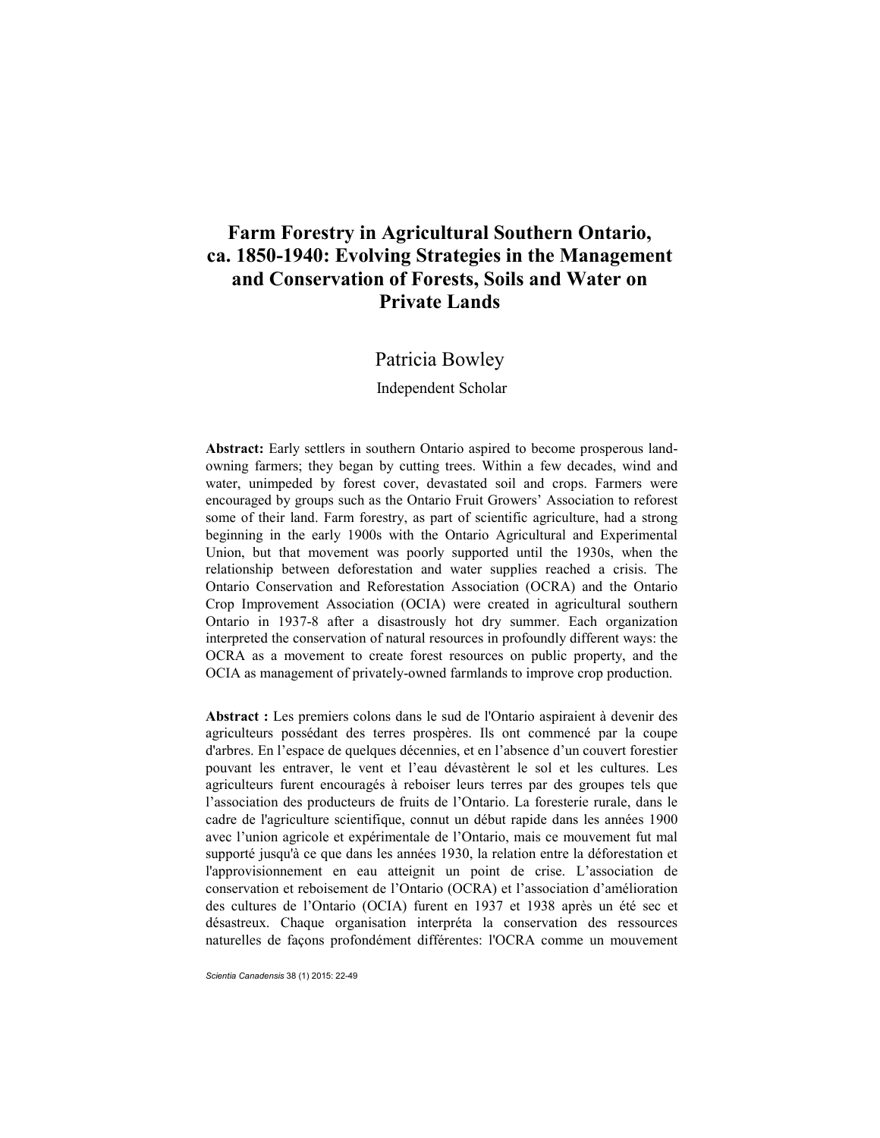# **Farm Forestry in Agricultural Southern Ontario, ca. 1850-1940: Evolving Strategies in the Management and Conservation of Forests, Soils and Water on Private Lands**

## Patricia Bowley

#### Independent Scholar

**Abstract:** Early settlers in southern Ontario aspired to become prosperous landowning farmers; they began by cutting trees. Within a few decades, wind and water, unimpeded by forest cover, devastated soil and crops. Farmers were encouraged by groups such as the Ontario Fruit Growers' Association to reforest some of their land. Farm forestry, as part of scientific agriculture, had a strong beginning in the early 1900s with the Ontario Agricultural and Experimental Union, but that movement was poorly supported until the 1930s, when the relationship between deforestation and water supplies reached a crisis. The Ontario Conservation and Reforestation Association (OCRA) and the Ontario Crop Improvement Association (OCIA) were created in agricultural southern Ontario in 1937-8 after a disastrously hot dry summer. Each organization interpreted the conservation of natural resources in profoundly different ways: the OCRA as a movement to create forest resources on public property, and the OCIA as management of privately-owned farmlands to improve crop production.

**Abstract :** Les premiers colons dans le sud de l'Ontario aspiraient à devenir des agriculteurs possédant des terres prospères. Ils ont commencé par la coupe d'arbres. En l'espace de quelques décennies, et en l'absence d'un couvert forestier pouvant les entraver, le vent et l'eau dévastèrent le sol et les cultures. Les agriculteurs furent encouragés à reboiser leurs terres par des groupes tels que l'association des producteurs de fruits de l'Ontario. La foresterie rurale, dans le cadre de l'agriculture scientifique, connut un début rapide dans les années 1900 avec l'union agricole et expérimentale de l'Ontario, mais ce mouvement fut mal supporté jusqu'à ce que dans les années 1930, la relation entre la déforestation et l'approvisionnement en eau atteignit un point de crise. L'association de conservation et reboisement de l'Ontario (OCRA) et l'association d'amélioration des cultures de l'Ontario (OCIA) furent en 1937 et 1938 après un été sec et désastreux. Chaque organisation interpréta la conservation des ressources naturelles de façons profondément différentes: l'OCRA comme un mouvement

*Scientia Canadensis* 38 (1) 2015: 22-49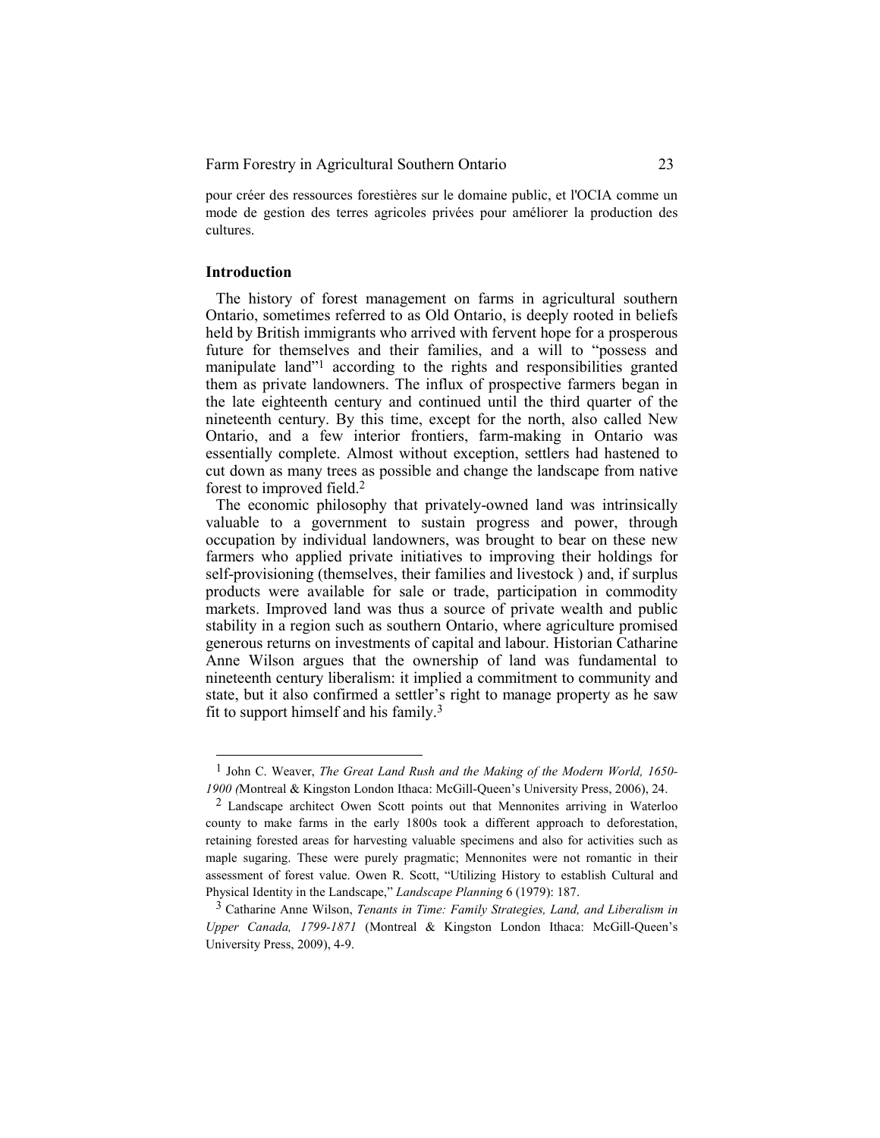pour créer des ressources forestières sur le domaine public, et l'OCIA comme un mode de gestion des terres agricoles privées pour améliorer la production des cultures.

#### **Introduction**

 $\overline{a}$ 

The history of forest management on farms in agricultural southern Ontario, sometimes referred to as Old Ontario, is deeply rooted in beliefs held by British immigrants who arrived with fervent hope for a prosperous future for themselves and their families, and a will to "possess and manipulate land"1 according to the rights and responsibilities granted them as private landowners. The influx of prospective farmers began in the late eighteenth century and continued until the third quarter of the nineteenth century. By this time, except for the north, also called New Ontario, and a few interior frontiers, farm-making in Ontario was essentially complete. Almost without exception, settlers had hastened to cut down as many trees as possible and change the landscape from native forest to improved field.<sup>2</sup>

The economic philosophy that privately-owned land was intrinsically valuable to a government to sustain progress and power, through occupation by individual landowners, was brought to bear on these new farmers who applied private initiatives to improving their holdings for self-provisioning (themselves, their families and livestock ) and, if surplus products were available for sale or trade, participation in commodity markets. Improved land was thus a source of private wealth and public stability in a region such as southern Ontario, where agriculture promised generous returns on investments of capital and labour. Historian Catharine Anne Wilson argues that the ownership of land was fundamental to nineteenth century liberalism: it implied a commitment to community and state, but it also confirmed a settler's right to manage property as he saw fit to support himself and his family.<sup>3</sup>

<sup>1</sup> John C. Weaver, *The Great Land Rush and the Making of the Modern World, 1650- 1900 (*Montreal & Kingston London Ithaca: McGill-Queen's University Press, 2006), 24.

<sup>2</sup> Landscape architect Owen Scott points out that Mennonites arriving in Waterloo county to make farms in the early 1800s took a different approach to deforestation, retaining forested areas for harvesting valuable specimens and also for activities such as maple sugaring. These were purely pragmatic; Mennonites were not romantic in their assessment of forest value. Owen R. Scott, "Utilizing History to establish Cultural and Physical Identity in the Landscape," *Landscape Planning* 6 (1979): 187.

<sup>3</sup> Catharine Anne Wilson, *Tenants in Time: Family Strategies, Land, and Liberalism in Upper Canada, 1799-1871* (Montreal & Kingston London Ithaca: McGill-Queen's University Press, 2009), 4-9.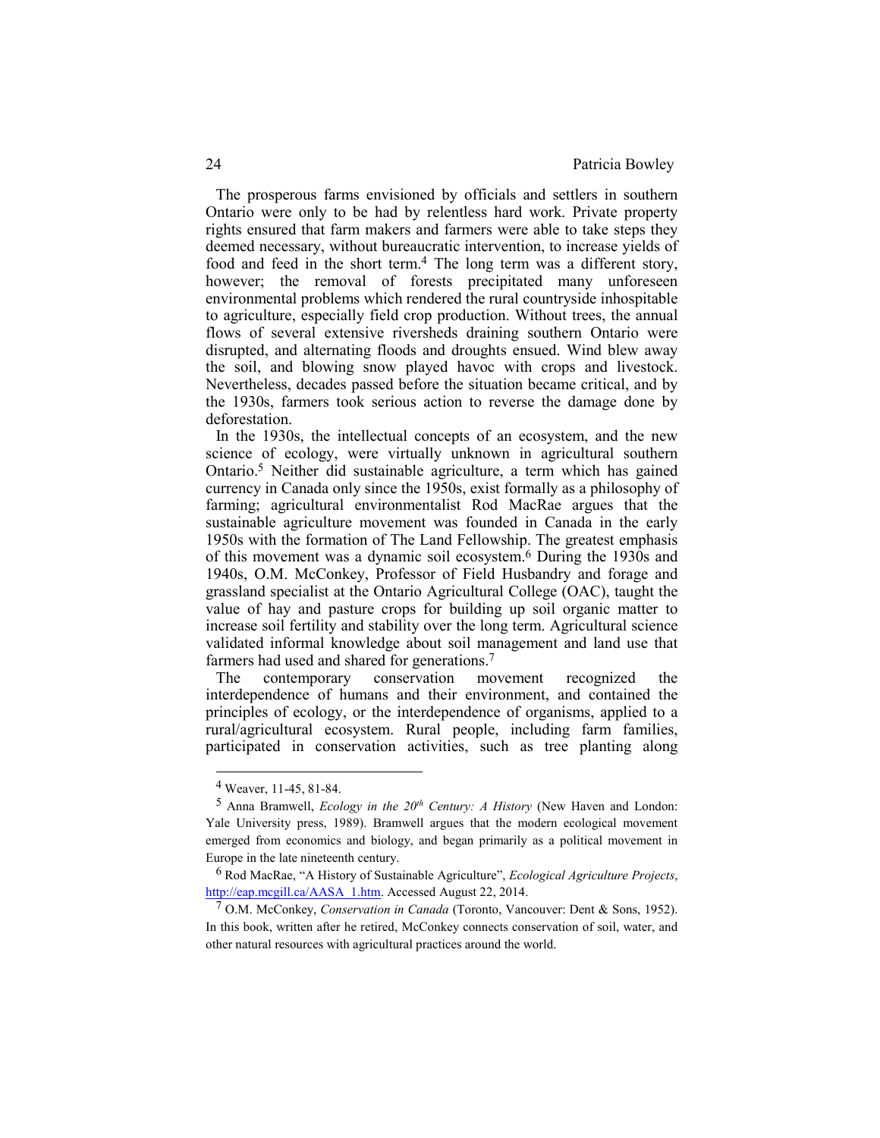The prosperous farms envisioned by officials and settlers in southern Ontario were only to be had by relentless hard work. Private property rights ensured that farm makers and farmers were able to take steps they deemed necessary, without bureaucratic intervention, to increase yields of food and feed in the short term.4 The long term was a different story, however; the removal of forests precipitated many unforeseen environmental problems which rendered the rural countryside inhospitable to agriculture, especially field crop production. Without trees, the annual flows of several extensive riversheds draining southern Ontario were disrupted, and alternating floods and droughts ensued. Wind blew away the soil, and blowing snow played havoc with crops and livestock. Nevertheless, decades passed before the situation became critical, and by the 1930s, farmers took serious action to reverse the damage done by deforestation.

In the 1930s, the intellectual concepts of an ecosystem, and the new science of ecology, were virtually unknown in agricultural southern Ontario.5 Neither did sustainable agriculture, a term which has gained currency in Canada only since the 1950s, exist formally as a philosophy of farming; agricultural environmentalist Rod MacRae argues that the sustainable agriculture movement was founded in Canada in the early 1950s with the formation of The Land Fellowship. The greatest emphasis of this movement was a dynamic soil ecosystem.6 During the 1930s and 1940s, O.M. McConkey, Professor of Field Husbandry and forage and grassland specialist at the Ontario Agricultural College (OAC), taught the value of hay and pasture crops for building up soil organic matter to increase soil fertility and stability over the long term. Agricultural science validated informal knowledge about soil management and land use that farmers had used and shared for generations.<sup>7</sup>

The contemporary conservation movement recognized the interdependence of humans and their environment, and contained the principles of ecology, or the interdependence of organisms, applied to a rural/agricultural ecosystem. Rural people, including farm families, participated in conservation activities, such as tree planting along

<sup>4</sup> Weaver, 11-45, 81-84.

<sup>5</sup> Anna Bramwell, *Ecology in the 20th Century: A History* (New Haven and London: Yale University press, 1989). Bramwell argues that the modern ecological movement emerged from economics and biology, and began primarily as a political movement in Europe in the late nineteenth century.

<sup>6</sup> Rod MacRae, "A History of Sustainable Agriculture", *Ecological Agriculture Projects*, http://eap.mcgill.ca/AASA\_1.htm. Accessed August 22, 2014.

<sup>7</sup> O.M. McConkey, *Conservation in Canada* (Toronto, Vancouver: Dent & Sons, 1952). In this book, written after he retired, McConkey connects conservation of soil, water, and other natural resources with agricultural practices around the world.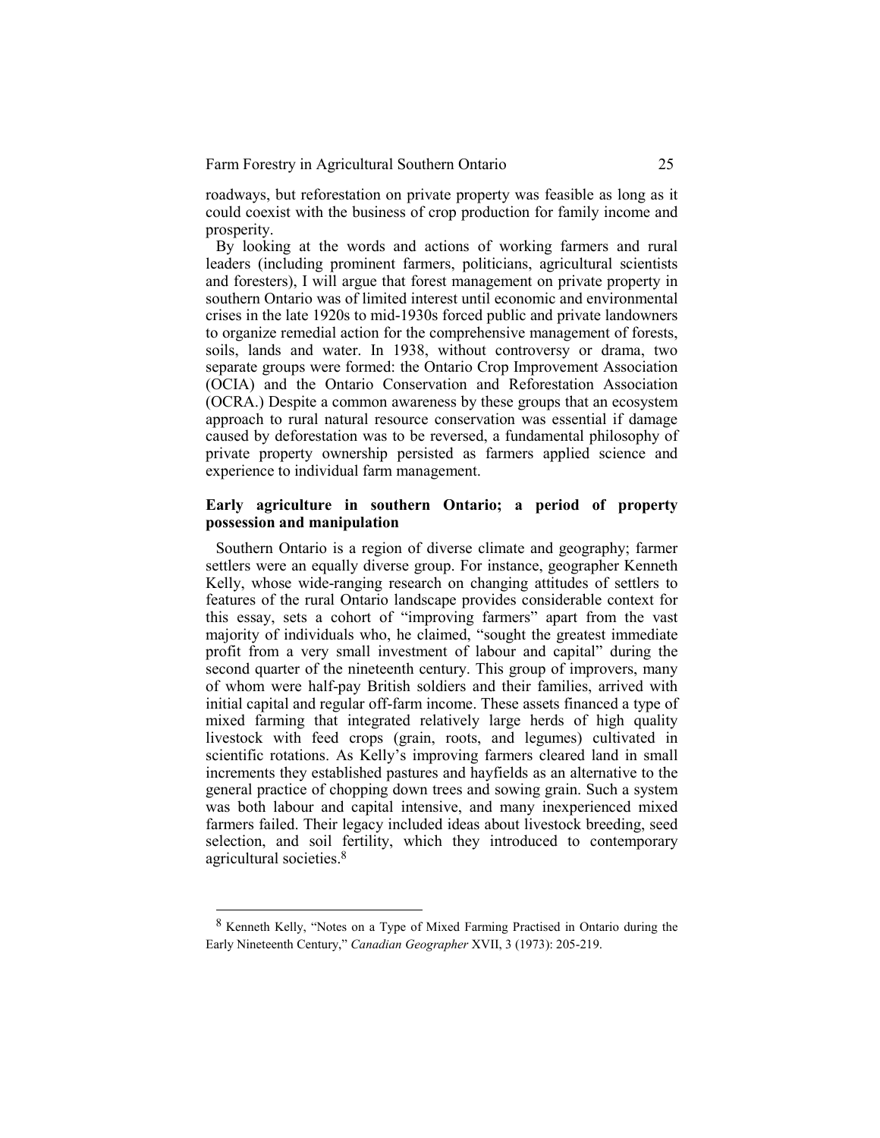roadways, but reforestation on private property was feasible as long as it could coexist with the business of crop production for family income and prosperity.

By looking at the words and actions of working farmers and rural leaders (including prominent farmers, politicians, agricultural scientists and foresters), I will argue that forest management on private property in southern Ontario was of limited interest until economic and environmental crises in the late 1920s to mid-1930s forced public and private landowners to organize remedial action for the comprehensive management of forests, soils, lands and water. In 1938, without controversy or drama, two separate groups were formed: the Ontario Crop Improvement Association (OCIA) and the Ontario Conservation and Reforestation Association (OCRA.) Despite a common awareness by these groups that an ecosystem approach to rural natural resource conservation was essential if damage caused by deforestation was to be reversed, a fundamental philosophy of private property ownership persisted as farmers applied science and experience to individual farm management.

## **Early agriculture in southern Ontario; a period of property possession and manipulation**

Southern Ontario is a region of diverse climate and geography; farmer settlers were an equally diverse group. For instance, geographer Kenneth Kelly, whose wide-ranging research on changing attitudes of settlers to features of the rural Ontario landscape provides considerable context for this essay, sets a cohort of "improving farmers" apart from the vast majority of individuals who, he claimed, "sought the greatest immediate profit from a very small investment of labour and capital" during the second quarter of the nineteenth century. This group of improvers, many of whom were half-pay British soldiers and their families, arrived with initial capital and regular off-farm income. These assets financed a type of mixed farming that integrated relatively large herds of high quality livestock with feed crops (grain, roots, and legumes) cultivated in scientific rotations. As Kelly's improving farmers cleared land in small increments they established pastures and hayfields as an alternative to the general practice of chopping down trees and sowing grain. Such a system was both labour and capital intensive, and many inexperienced mixed farmers failed. Their legacy included ideas about livestock breeding, seed selection, and soil fertility, which they introduced to contemporary agricultural societies.<sup>8</sup>

<sup>8</sup> Kenneth Kelly, "Notes on a Type of Mixed Farming Practised in Ontario during the Early Nineteenth Century," *Canadian Geographer* XVII, 3 (1973): 205-219.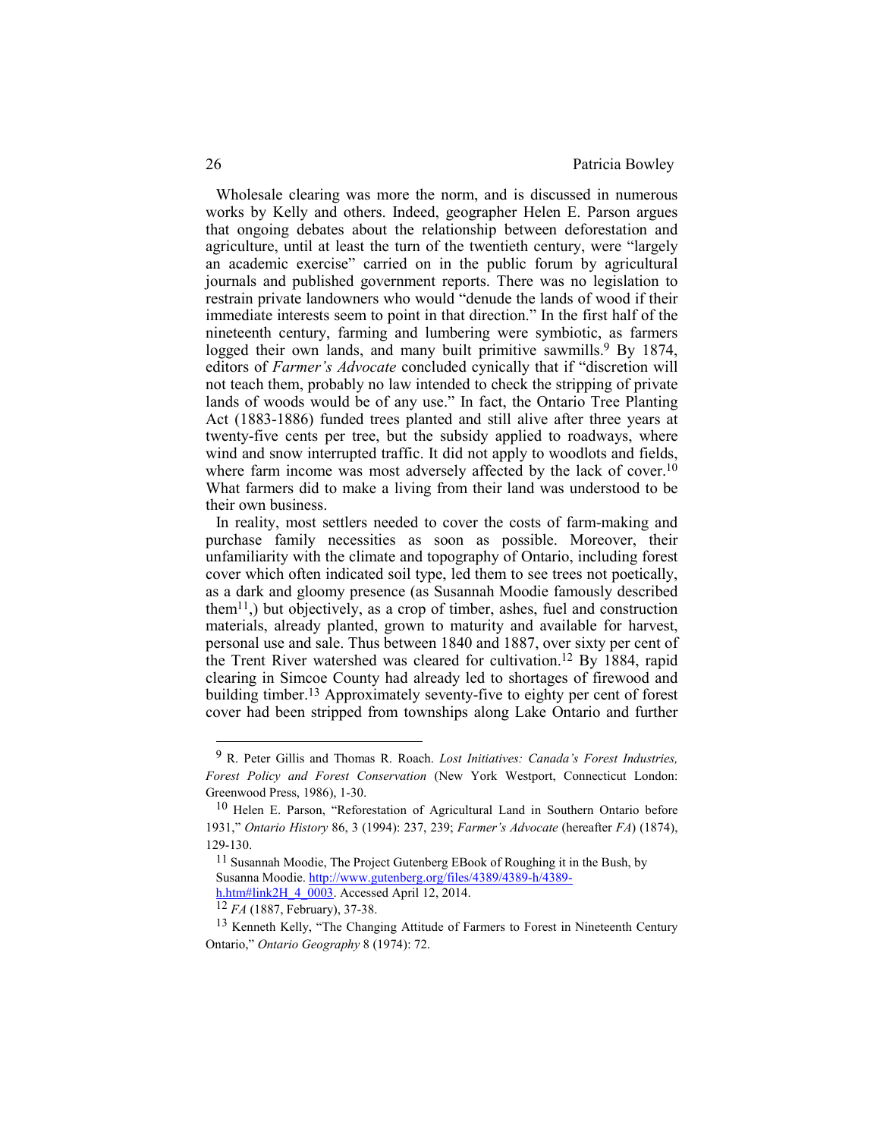Wholesale clearing was more the norm, and is discussed in numerous works by Kelly and others. Indeed, geographer Helen E. Parson argues that ongoing debates about the relationship between deforestation and agriculture, until at least the turn of the twentieth century, were "largely an academic exercise" carried on in the public forum by agricultural journals and published government reports. There was no legislation to restrain private landowners who would "denude the lands of wood if their immediate interests seem to point in that direction." In the first half of the nineteenth century, farming and lumbering were symbiotic, as farmers logged their own lands, and many built primitive sawmills.<sup>9</sup> By 1874, editors of *Farmer's Advocate* concluded cynically that if "discretion will not teach them, probably no law intended to check the stripping of private lands of woods would be of any use." In fact, the Ontario Tree Planting Act (1883-1886) funded trees planted and still alive after three years at twenty-five cents per tree, but the subsidy applied to roadways, where wind and snow interrupted traffic. It did not apply to woodlots and fields, where farm income was most adversely affected by the lack of cover.<sup>10</sup> What farmers did to make a living from their land was understood to be their own business.

In reality, most settlers needed to cover the costs of farm-making and purchase family necessities as soon as possible. Moreover, their unfamiliarity with the climate and topography of Ontario, including forest cover which often indicated soil type, led them to see trees not poetically, as a dark and gloomy presence (as Susannah Moodie famously described them<sup>11</sup>,) but objectively, as a crop of timber, ashes, fuel and construction materials, already planted, grown to maturity and available for harvest, personal use and sale. Thus between 1840 and 1887, over sixty per cent of the Trent River watershed was cleared for cultivation.12 By 1884, rapid clearing in Simcoe County had already led to shortages of firewood and building timber.<sup>13</sup> Approximately seventy-five to eighty per cent of forest cover had been stripped from townships along Lake Ontario and further

<sup>9</sup> R. Peter Gillis and Thomas R. Roach. *Lost Initiatives: Canada's Forest Industries, Forest Policy and Forest Conservation* (New York Westport, Connecticut London: Greenwood Press, 1986), 1-30.

<sup>10</sup> Helen E. Parson, "Reforestation of Agricultural Land in Southern Ontario before 1931," *Ontario History* 86, 3 (1994): 237, 239; *Farmer's Advocate* (hereafter *FA*) (1874), 129-130.

<sup>11</sup> Susannah Moodie, The Project Gutenberg EBook of Roughing it in the Bush, by Susanna Moodie. http://www.gutenberg.org/files/4389/4389-h/4389 h.htm#link2H\_4\_0003. Accessed April 12, 2014.

<sup>12</sup> *FA* (1887, February), 37-38.

<sup>13</sup> Kenneth Kelly, "The Changing Attitude of Farmers to Forest in Nineteenth Century Ontario," *Ontario Geography* 8 (1974): 72.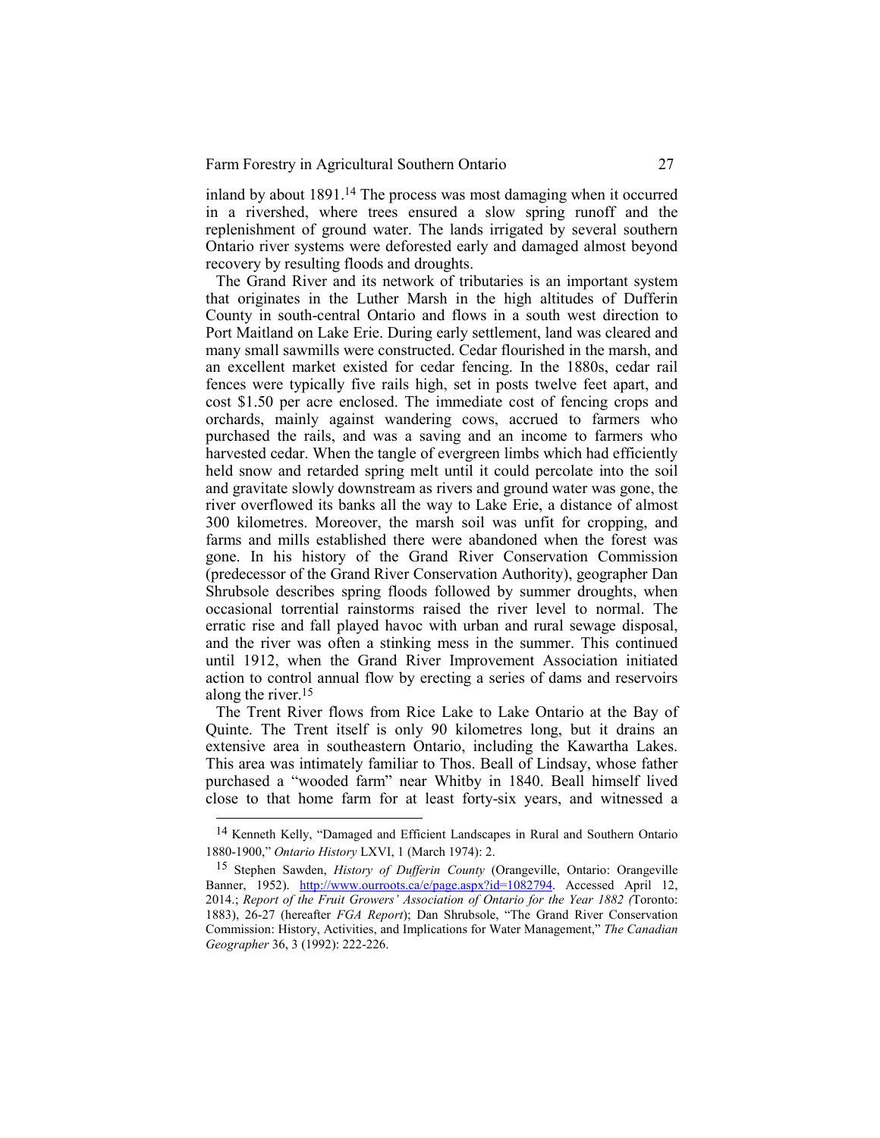inland by about 1891.14 The process was most damaging when it occurred in a rivershed, where trees ensured a slow spring runoff and the replenishment of ground water. The lands irrigated by several southern Ontario river systems were deforested early and damaged almost beyond recovery by resulting floods and droughts.

The Grand River and its network of tributaries is an important system that originates in the Luther Marsh in the high altitudes of Dufferin County in south-central Ontario and flows in a south west direction to Port Maitland on Lake Erie. During early settlement, land was cleared and many small sawmills were constructed. Cedar flourished in the marsh, and an excellent market existed for cedar fencing. In the 1880s, cedar rail fences were typically five rails high, set in posts twelve feet apart, and cost \$1.50 per acre enclosed. The immediate cost of fencing crops and orchards, mainly against wandering cows, accrued to farmers who purchased the rails, and was a saving and an income to farmers who harvested cedar. When the tangle of evergreen limbs which had efficiently held snow and retarded spring melt until it could percolate into the soil and gravitate slowly downstream as rivers and ground water was gone, the river overflowed its banks all the way to Lake Erie, a distance of almost 300 kilometres. Moreover, the marsh soil was unfit for cropping, and farms and mills established there were abandoned when the forest was gone. In his history of the Grand River Conservation Commission (predecessor of the Grand River Conservation Authority), geographer Dan Shrubsole describes spring floods followed by summer droughts, when occasional torrential rainstorms raised the river level to normal. The erratic rise and fall played havoc with urban and rural sewage disposal, and the river was often a stinking mess in the summer. This continued until 1912, when the Grand River Improvement Association initiated action to control annual flow by erecting a series of dams and reservoirs along the river.<sup>15</sup>

The Trent River flows from Rice Lake to Lake Ontario at the Bay of Quinte. The Trent itself is only 90 kilometres long, but it drains an extensive area in southeastern Ontario, including the Kawartha Lakes. This area was intimately familiar to Thos. Beall of Lindsay, whose father purchased a "wooded farm" near Whitby in 1840. Beall himself lived close to that home farm for at least forty-six years, and witnessed a

<sup>14</sup> Kenneth Kelly, "Damaged and Efficient Landscapes in Rural and Southern Ontario 1880-1900," *Ontario History* LXVI, 1 (March 1974): 2.

<sup>15</sup> Stephen Sawden, *History of Dufferin County* (Orangeville, Ontario: Orangeville Banner, 1952). http://www.ourroots.ca/e/page.aspx?id=1082794. Accessed April 12, 2014.; *Report of the Fruit Growers' Association of Ontario for the Year 1882 (*Toronto: 1883), 26-27 (hereafter *FGA Report*); Dan Shrubsole, "The Grand River Conservation Commission: History, Activities, and Implications for Water Management," *The Canadian Geographer* 36, 3 (1992): 222-226.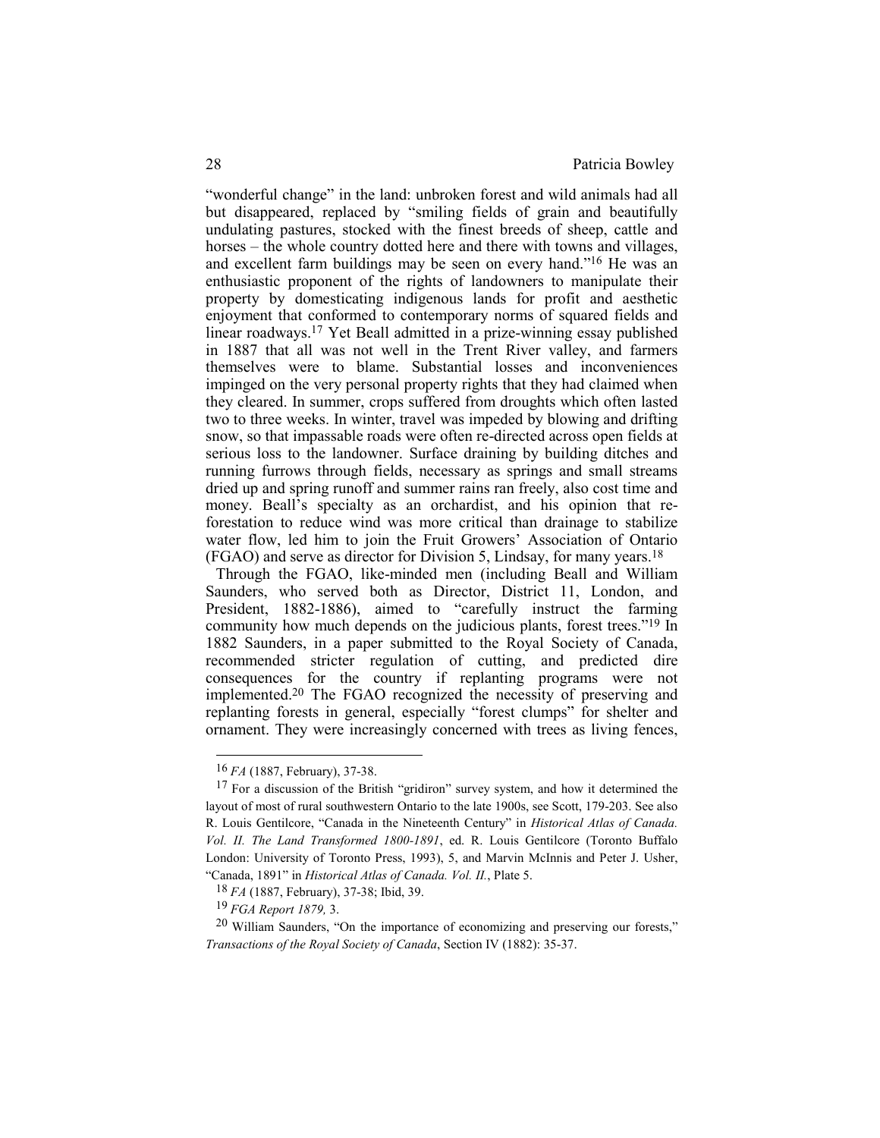"wonderful change" in the land: unbroken forest and wild animals had all but disappeared, replaced by "smiling fields of grain and beautifully undulating pastures, stocked with the finest breeds of sheep, cattle and horses – the whole country dotted here and there with towns and villages, and excellent farm buildings may be seen on every hand."16 He was an enthusiastic proponent of the rights of landowners to manipulate their property by domesticating indigenous lands for profit and aesthetic enjoyment that conformed to contemporary norms of squared fields and linear roadways.17 Yet Beall admitted in a prize-winning essay published in 1887 that all was not well in the Trent River valley, and farmers themselves were to blame. Substantial losses and inconveniences impinged on the very personal property rights that they had claimed when they cleared. In summer, crops suffered from droughts which often lasted two to three weeks. In winter, travel was impeded by blowing and drifting snow, so that impassable roads were often re-directed across open fields at serious loss to the landowner. Surface draining by building ditches and running furrows through fields, necessary as springs and small streams dried up and spring runoff and summer rains ran freely, also cost time and money. Beall's specialty as an orchardist, and his opinion that reforestation to reduce wind was more critical than drainage to stabilize water flow, led him to join the Fruit Growers' Association of Ontario (FGAO) and serve as director for Division 5, Lindsay, for many years.<sup>18</sup>

Through the FGAO, like-minded men (including Beall and William Saunders, who served both as Director, District 11, London, and President, 1882-1886), aimed to "carefully instruct the farming community how much depends on the judicious plants, forest trees."19 In 1882 Saunders, in a paper submitted to the Royal Society of Canada, recommended stricter regulation of cutting, and predicted dire consequences for the country if replanting programs were not implemented.20 The FGAO recognized the necessity of preserving and replanting forests in general, especially "forest clumps" for shelter and ornament. They were increasingly concerned with trees as living fences,

<sup>16</sup> *FA* (1887, February), 37-38.

<sup>&</sup>lt;sup>17</sup> For a discussion of the British "gridiron" survey system, and how it determined the layout of most of rural southwestern Ontario to the late 1900s, see Scott, 179-203. See also R. Louis Gentilcore, "Canada in the Nineteenth Century" in *Historical Atlas of Canada. Vol. II. The Land Transformed 1800-1891*, ed. R. Louis Gentilcore (Toronto Buffalo London: University of Toronto Press, 1993), 5, and Marvin McInnis and Peter J. Usher, "Canada, 1891" in *Historical Atlas of Canada. Vol. II.*, Plate 5.

<sup>18</sup> *FA* (1887, February), 37-38; Ibid, 39.

<sup>19</sup> *FGA Report 1879,* 3.

<sup>20</sup> William Saunders, "On the importance of economizing and preserving our forests," *Transactions of the Royal Society of Canada*, Section IV (1882): 35-37.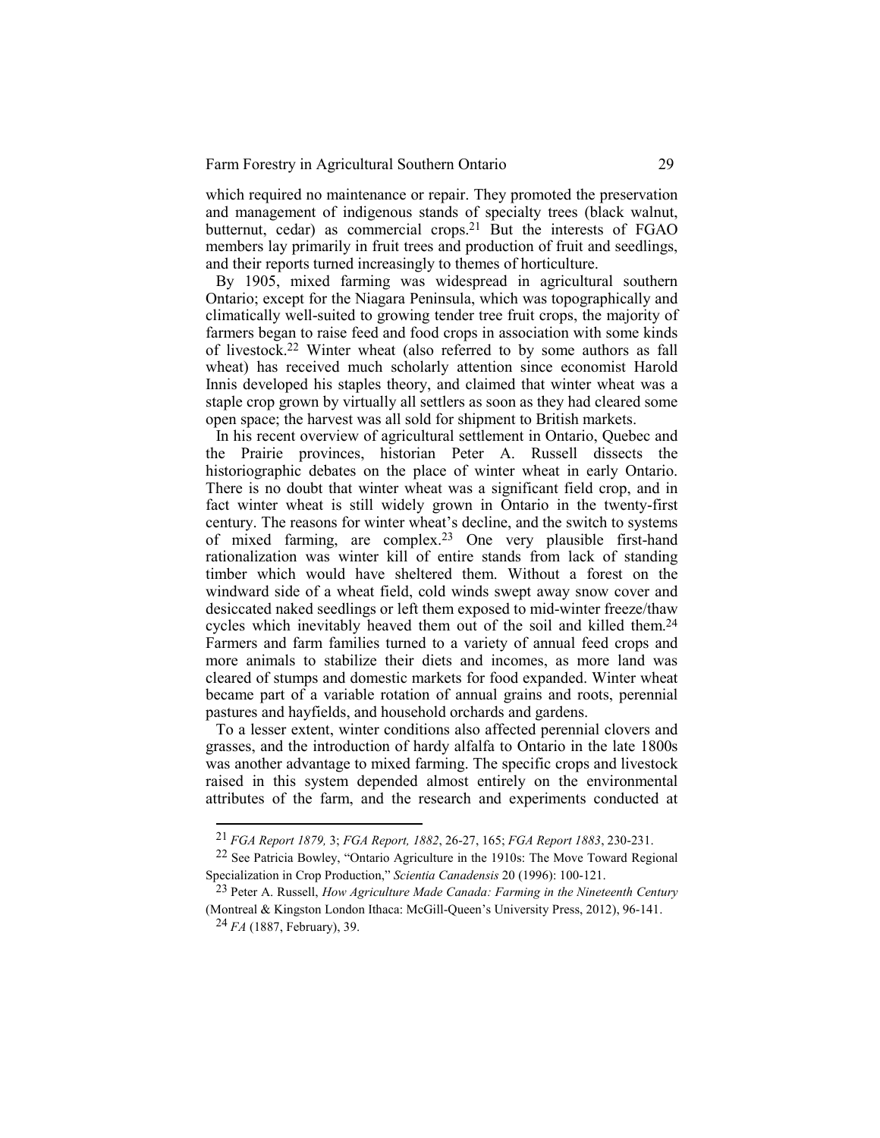which required no maintenance or repair. They promoted the preservation and management of indigenous stands of specialty trees (black walnut, butternut, cedar) as commercial crops.21 But the interests of FGAO members lay primarily in fruit trees and production of fruit and seedlings, and their reports turned increasingly to themes of horticulture.

By 1905, mixed farming was widespread in agricultural southern Ontario; except for the Niagara Peninsula, which was topographically and climatically well-suited to growing tender tree fruit crops, the majority of farmers began to raise feed and food crops in association with some kinds of livestock.22 Winter wheat (also referred to by some authors as fall wheat) has received much scholarly attention since economist Harold Innis developed his staples theory, and claimed that winter wheat was a staple crop grown by virtually all settlers as soon as they had cleared some open space; the harvest was all sold for shipment to British markets.

In his recent overview of agricultural settlement in Ontario, Quebec and the Prairie provinces, historian Peter A. Russell dissects the historiographic debates on the place of winter wheat in early Ontario. There is no doubt that winter wheat was a significant field crop, and in fact winter wheat is still widely grown in Ontario in the twenty-first century. The reasons for winter wheat's decline, and the switch to systems of mixed farming, are complex.23 One very plausible first-hand rationalization was winter kill of entire stands from lack of standing timber which would have sheltered them. Without a forest on the windward side of a wheat field, cold winds swept away snow cover and desiccated naked seedlings or left them exposed to mid-winter freeze/thaw cycles which inevitably heaved them out of the soil and killed them.<sup>24</sup> Farmers and farm families turned to a variety of annual feed crops and more animals to stabilize their diets and incomes, as more land was cleared of stumps and domestic markets for food expanded. Winter wheat became part of a variable rotation of annual grains and roots, perennial pastures and hayfields, and household orchards and gardens.

To a lesser extent, winter conditions also affected perennial clovers and grasses, and the introduction of hardy alfalfa to Ontario in the late 1800s was another advantage to mixed farming. The specific crops and livestock raised in this system depended almost entirely on the environmental attributes of the farm, and the research and experiments conducted at

<sup>21</sup> *FGA Report 1879,* 3; *FGA Report, 1882*, 26-27, 165; *FGA Report 1883*, 230-231.

<sup>22</sup> See Patricia Bowley, "Ontario Agriculture in the 1910s: The Move Toward Regional Specialization in Crop Production," *Scientia Canadensis* 20 (1996): 100-121.

<sup>23</sup> Peter A. Russell, *How Agriculture Made Canada: Farming in the Nineteenth Century* (Montreal & Kingston London Ithaca: McGill-Queen's University Press, 2012), 96-141.

<sup>24</sup> *FA* (1887, February), 39.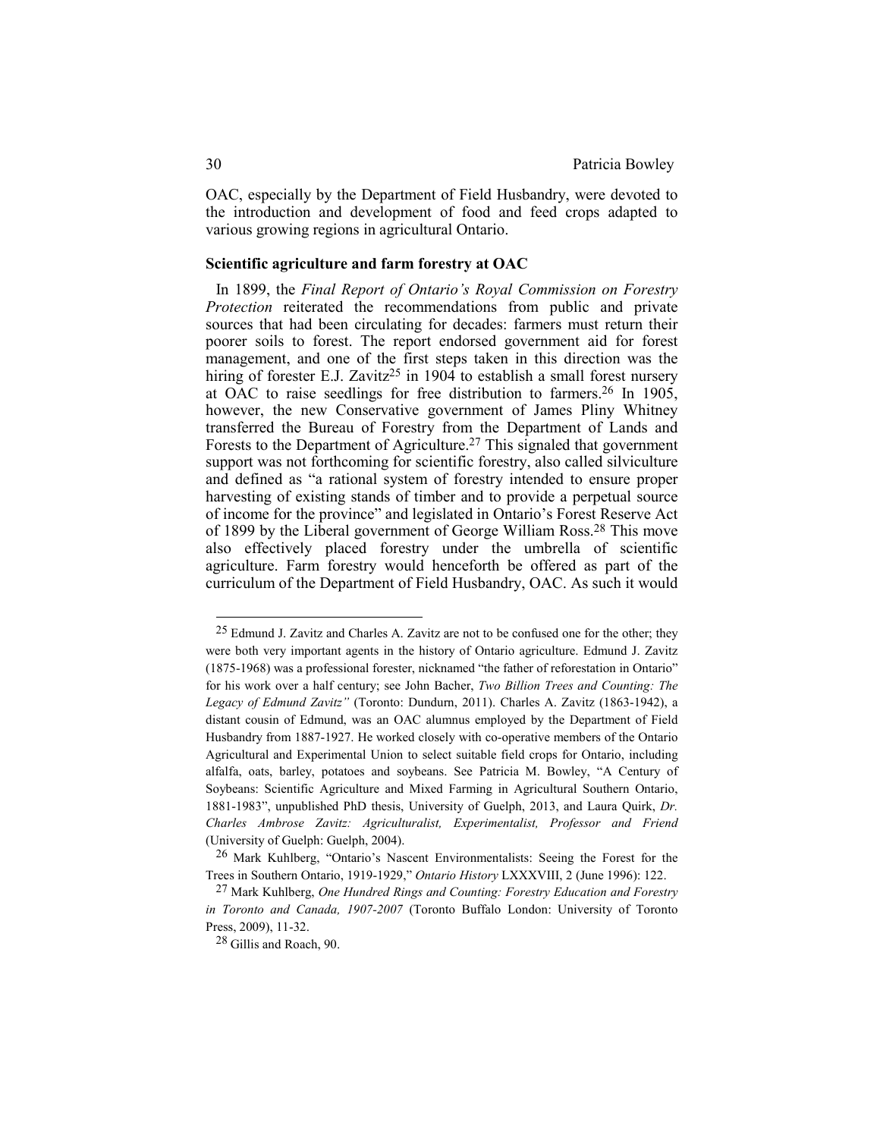OAC, especially by the Department of Field Husbandry, were devoted to the introduction and development of food and feed crops adapted to various growing regions in agricultural Ontario.

### **Scientific agriculture and farm forestry at OAC**

In 1899, the *Final Report of Ontario's Royal Commission on Forestry Protection* reiterated the recommendations from public and private sources that had been circulating for decades: farmers must return their poorer soils to forest. The report endorsed government aid for forest management, and one of the first steps taken in this direction was the hiring of forester E.J. Zavitz<sup>25</sup> in 1904 to establish a small forest nursery at OAC to raise seedlings for free distribution to farmers.26 In 1905, however, the new Conservative government of James Pliny Whitney transferred the Bureau of Forestry from the Department of Lands and Forests to the Department of Agriculture.27 This signaled that government support was not forthcoming for scientific forestry, also called silviculture and defined as "a rational system of forestry intended to ensure proper harvesting of existing stands of timber and to provide a perpetual source of income for the province" and legislated in Ontario's Forest Reserve Act of 1899 by the Liberal government of George William Ross.28 This move also effectively placed forestry under the umbrella of scientific agriculture. Farm forestry would henceforth be offered as part of the curriculum of the Department of Field Husbandry, OAC. As such it would

<sup>&</sup>lt;sup>25</sup> Edmund J. Zavitz and Charles A. Zavitz are not to be confused one for the other; they were both very important agents in the history of Ontario agriculture. Edmund J. Zavitz (1875-1968) was a professional forester, nicknamed "the father of reforestation in Ontario" for his work over a half century; see John Bacher, *Two Billion Trees and Counting: The Legacy of Edmund Zavitz"* (Toronto: Dundurn, 2011). Charles A. Zavitz (1863-1942), a distant cousin of Edmund, was an OAC alumnus employed by the Department of Field Husbandry from 1887-1927. He worked closely with co-operative members of the Ontario Agricultural and Experimental Union to select suitable field crops for Ontario, including alfalfa, oats, barley, potatoes and soybeans. See Patricia M. Bowley, "A Century of Soybeans: Scientific Agriculture and Mixed Farming in Agricultural Southern Ontario, 1881-1983", unpublished PhD thesis, University of Guelph, 2013, and Laura Quirk, *Dr. Charles Ambrose Zavitz: Agriculturalist, Experimentalist, Professor and Friend* (University of Guelph: Guelph, 2004).

<sup>26</sup> Mark Kuhlberg, "Ontario's Nascent Environmentalists: Seeing the Forest for the Trees in Southern Ontario, 1919-1929," *Ontario History* LXXXVIII, 2 (June 1996): 122.

<sup>27</sup> Mark Kuhlberg, *One Hundred Rings and Counting: Forestry Education and Forestry in Toronto and Canada, 1907-2007* (Toronto Buffalo London: University of Toronto Press, 2009), 11-32.

<sup>28</sup> Gillis and Roach, 90.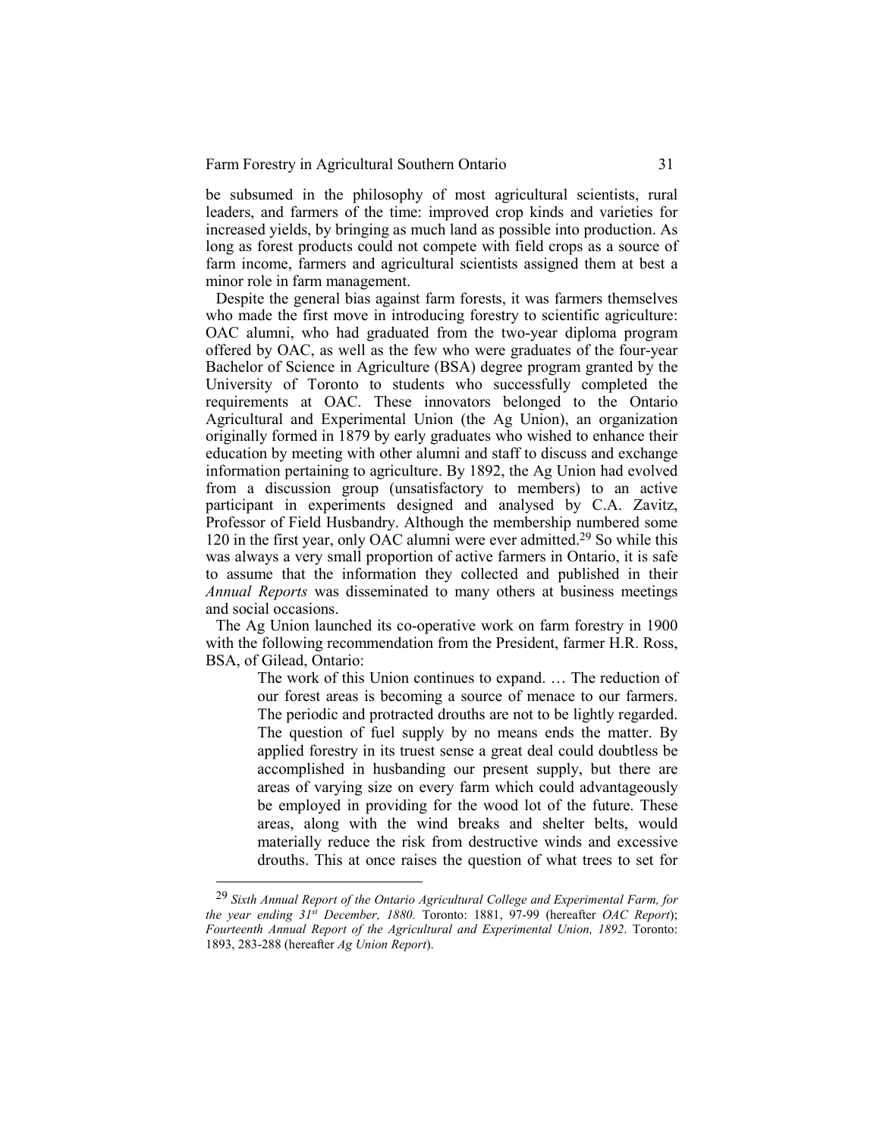be subsumed in the philosophy of most agricultural scientists, rural leaders, and farmers of the time: improved crop kinds and varieties for increased yields, by bringing as much land as possible into production. As long as forest products could not compete with field crops as a source of farm income, farmers and agricultural scientists assigned them at best a minor role in farm management.

Despite the general bias against farm forests, it was farmers themselves who made the first move in introducing forestry to scientific agriculture: OAC alumni, who had graduated from the two-year diploma program offered by OAC, as well as the few who were graduates of the four-year Bachelor of Science in Agriculture (BSA) degree program granted by the University of Toronto to students who successfully completed the requirements at OAC. These innovators belonged to the Ontario Agricultural and Experimental Union (the Ag Union), an organization originally formed in 1879 by early graduates who wished to enhance their education by meeting with other alumni and staff to discuss and exchange information pertaining to agriculture. By 1892, the Ag Union had evolved from a discussion group (unsatisfactory to members) to an active participant in experiments designed and analysed by C.A. Zavitz, Professor of Field Husbandry. Although the membership numbered some 120 in the first year, only OAC alumni were ever admitted.29 So while this was always a very small proportion of active farmers in Ontario, it is safe to assume that the information they collected and published in their *Annual Reports* was disseminated to many others at business meetings and social occasions.

The Ag Union launched its co-operative work on farm forestry in 1900 with the following recommendation from the President, farmer H.R. Ross, BSA, of Gilead, Ontario:

> The work of this Union continues to expand. … The reduction of our forest areas is becoming a source of menace to our farmers. The periodic and protracted drouths are not to be lightly regarded. The question of fuel supply by no means ends the matter. By applied forestry in its truest sense a great deal could doubtless be accomplished in husbanding our present supply, but there are areas of varying size on every farm which could advantageously be employed in providing for the wood lot of the future. These areas, along with the wind breaks and shelter belts, would materially reduce the risk from destructive winds and excessive drouths. This at once raises the question of what trees to set for

<sup>29</sup> *Sixth Annual Report of the Ontario Agricultural College and Experimental Farm, for the year ending 31st December, 1880.* Toronto: 1881, 97-99 (hereafter *OAC Report*); *Fourteenth Annual Report of the Agricultural and Experimental Union, 1892*. Toronto: 1893, 283-288 (hereafter *Ag Union Report*).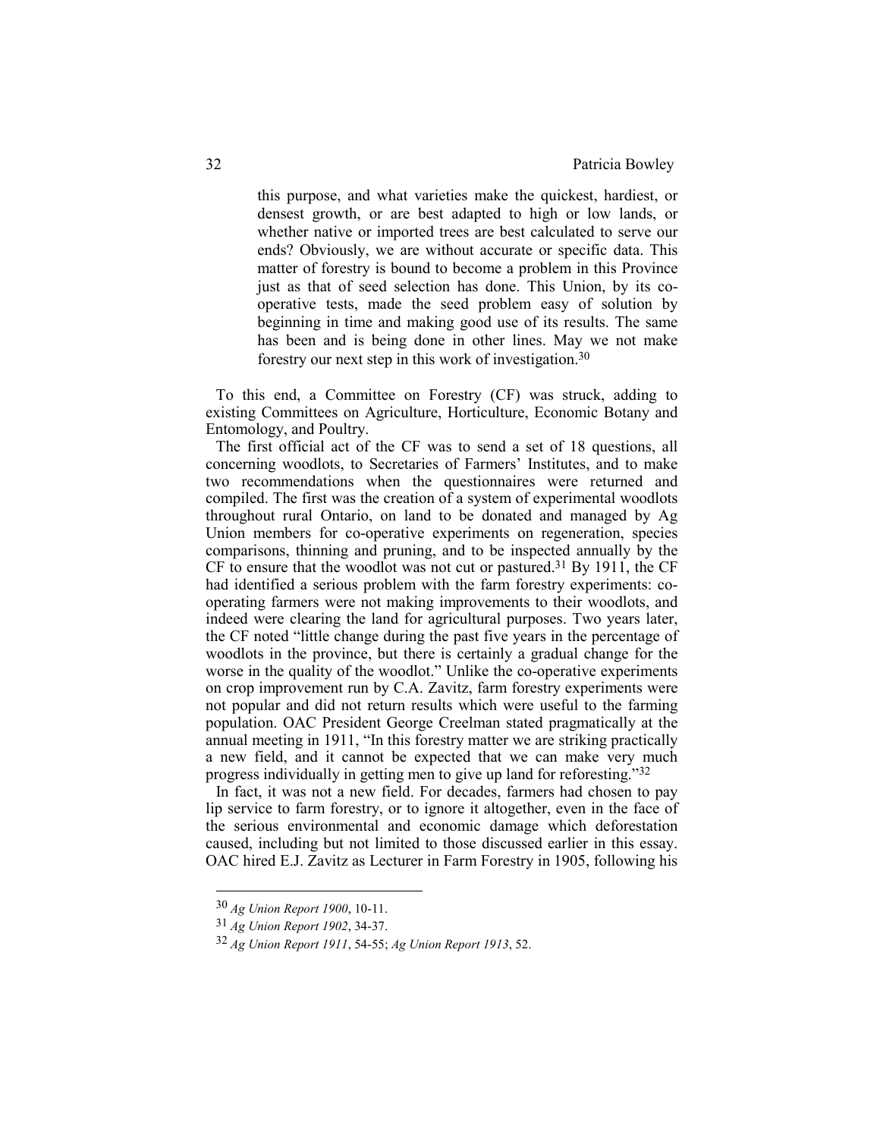this purpose, and what varieties make the quickest, hardiest, or densest growth, or are best adapted to high or low lands, or whether native or imported trees are best calculated to serve our ends? Obviously, we are without accurate or specific data. This matter of forestry is bound to become a problem in this Province just as that of seed selection has done. This Union, by its cooperative tests, made the seed problem easy of solution by beginning in time and making good use of its results. The same has been and is being done in other lines. May we not make forestry our next step in this work of investigation.<sup>30</sup>

To this end, a Committee on Forestry (CF) was struck, adding to existing Committees on Agriculture, Horticulture, Economic Botany and Entomology, and Poultry.

The first official act of the CF was to send a set of 18 questions, all concerning woodlots, to Secretaries of Farmers' Institutes, and to make two recommendations when the questionnaires were returned and compiled. The first was the creation of a system of experimental woodlots throughout rural Ontario, on land to be donated and managed by Ag Union members for co-operative experiments on regeneration, species comparisons, thinning and pruning, and to be inspected annually by the CF to ensure that the woodlot was not cut or pastured.<sup>31</sup> By 1911, the CF had identified a serious problem with the farm forestry experiments: cooperating farmers were not making improvements to their woodlots, and indeed were clearing the land for agricultural purposes. Two years later, the CF noted "little change during the past five years in the percentage of woodlots in the province, but there is certainly a gradual change for the worse in the quality of the woodlot." Unlike the co-operative experiments on crop improvement run by C.A. Zavitz, farm forestry experiments were not popular and did not return results which were useful to the farming population. OAC President George Creelman stated pragmatically at the annual meeting in 1911, "In this forestry matter we are striking practically a new field, and it cannot be expected that we can make very much progress individually in getting men to give up land for reforesting."<sup>32</sup>

In fact, it was not a new field. For decades, farmers had chosen to pay lip service to farm forestry, or to ignore it altogether, even in the face of the serious environmental and economic damage which deforestation caused, including but not limited to those discussed earlier in this essay. OAC hired E.J. Zavitz as Lecturer in Farm Forestry in 1905, following his

<sup>30</sup> *Ag Union Report 1900*, 10-11.

<sup>31</sup> *Ag Union Report 1902*, 34-37.

<sup>32</sup> *Ag Union Report 1911*, 54-55; *Ag Union Report 1913*, 52.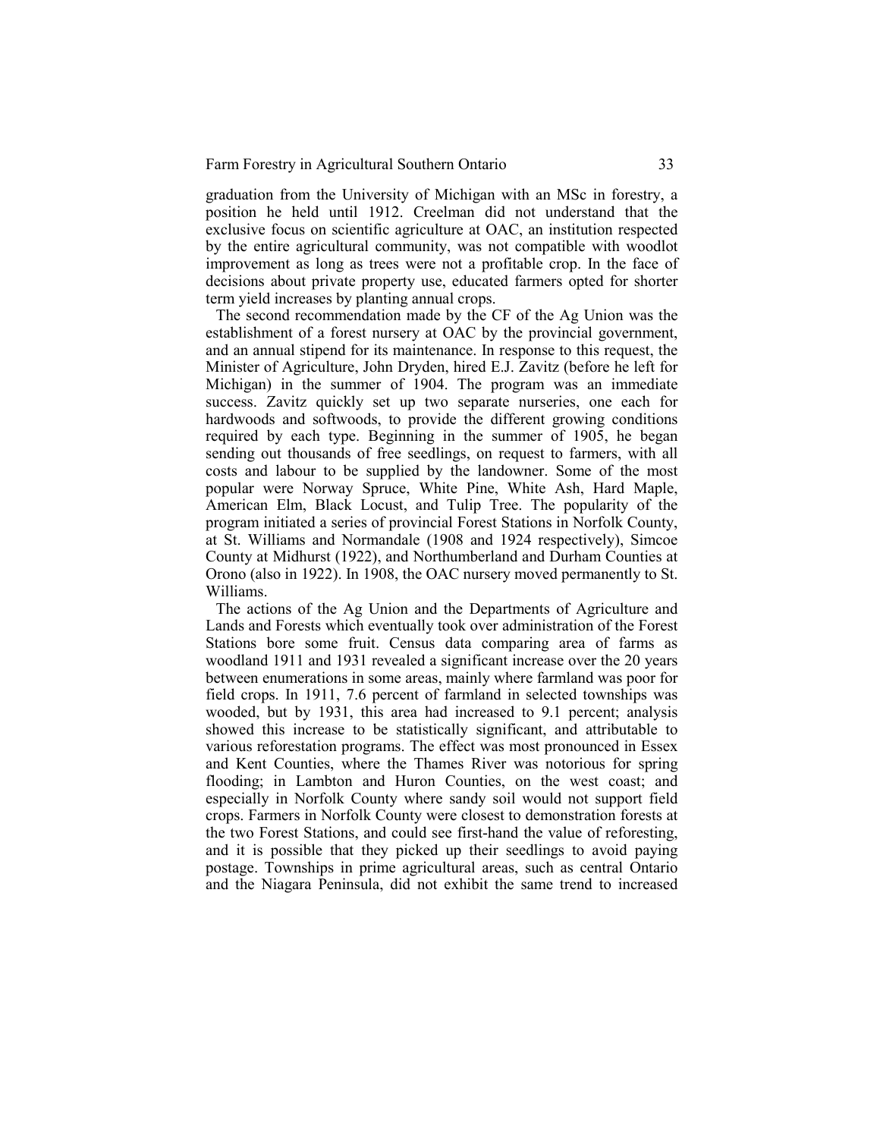graduation from the University of Michigan with an MSc in forestry, a position he held until 1912. Creelman did not understand that the exclusive focus on scientific agriculture at OAC, an institution respected by the entire agricultural community, was not compatible with woodlot improvement as long as trees were not a profitable crop. In the face of decisions about private property use, educated farmers opted for shorter term yield increases by planting annual crops.

The second recommendation made by the CF of the Ag Union was the establishment of a forest nursery at OAC by the provincial government, and an annual stipend for its maintenance. In response to this request, the Minister of Agriculture, John Dryden, hired E.J. Zavitz (before he left for Michigan) in the summer of 1904. The program was an immediate success. Zavitz quickly set up two separate nurseries, one each for hardwoods and softwoods, to provide the different growing conditions required by each type. Beginning in the summer of 1905, he began sending out thousands of free seedlings, on request to farmers, with all costs and labour to be supplied by the landowner. Some of the most popular were Norway Spruce, White Pine, White Ash, Hard Maple, American Elm, Black Locust, and Tulip Tree. The popularity of the program initiated a series of provincial Forest Stations in Norfolk County, at St. Williams and Normandale (1908 and 1924 respectively), Simcoe County at Midhurst (1922), and Northumberland and Durham Counties at Orono (also in 1922). In 1908, the OAC nursery moved permanently to St. Williams.

The actions of the Ag Union and the Departments of Agriculture and Lands and Forests which eventually took over administration of the Forest Stations bore some fruit. Census data comparing area of farms as woodland 1911 and 1931 revealed a significant increase over the 20 years between enumerations in some areas, mainly where farmland was poor for field crops. In 1911, 7.6 percent of farmland in selected townships was wooded, but by 1931, this area had increased to 9.1 percent; analysis showed this increase to be statistically significant, and attributable to various reforestation programs. The effect was most pronounced in Essex and Kent Counties, where the Thames River was notorious for spring flooding; in Lambton and Huron Counties, on the west coast; and especially in Norfolk County where sandy soil would not support field crops. Farmers in Norfolk County were closest to demonstration forests at the two Forest Stations, and could see first-hand the value of reforesting, and it is possible that they picked up their seedlings to avoid paying postage. Townships in prime agricultural areas, such as central Ontario and the Niagara Peninsula, did not exhibit the same trend to increased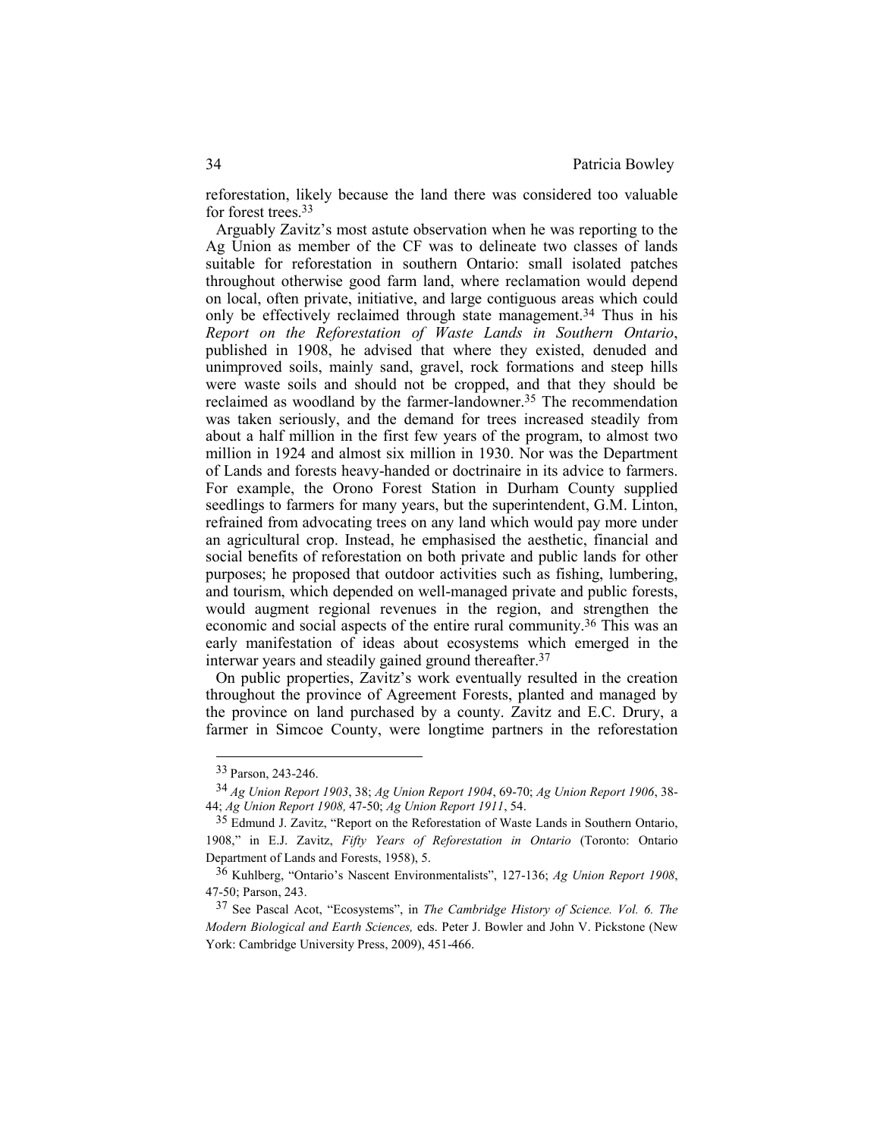reforestation, likely because the land there was considered too valuable for forest trees.<sup>33</sup>

Arguably Zavitz's most astute observation when he was reporting to the Ag Union as member of the CF was to delineate two classes of lands suitable for reforestation in southern Ontario: small isolated patches throughout otherwise good farm land, where reclamation would depend on local, often private, initiative, and large contiguous areas which could only be effectively reclaimed through state management.<sup>34</sup> Thus in his *Report on the Reforestation of Waste Lands in Southern Ontario*, published in 1908, he advised that where they existed, denuded and unimproved soils, mainly sand, gravel, rock formations and steep hills were waste soils and should not be cropped, and that they should be reclaimed as woodland by the farmer-landowner.<sup>35</sup> The recommendation was taken seriously, and the demand for trees increased steadily from about a half million in the first few years of the program, to almost two million in 1924 and almost six million in 1930. Nor was the Department of Lands and forests heavy-handed or doctrinaire in its advice to farmers. For example, the Orono Forest Station in Durham County supplied seedlings to farmers for many years, but the superintendent, G.M. Linton, refrained from advocating trees on any land which would pay more under an agricultural crop. Instead, he emphasised the aesthetic, financial and social benefits of reforestation on both private and public lands for other purposes; he proposed that outdoor activities such as fishing, lumbering, and tourism, which depended on well-managed private and public forests, would augment regional revenues in the region, and strengthen the economic and social aspects of the entire rural community.36 This was an early manifestation of ideas about ecosystems which emerged in the interwar years and steadily gained ground thereafter.<sup>37</sup>

On public properties, Zavitz's work eventually resulted in the creation throughout the province of Agreement Forests, planted and managed by the province on land purchased by a county. Zavitz and E.C. Drury, a farmer in Simcoe County, were longtime partners in the reforestation

<sup>33</sup> Parson, 243-246.

<sup>34</sup> *Ag Union Report 1903*, 38; *Ag Union Report 1904*, 69-70; *Ag Union Report 1906*, 38- 44; *Ag Union Report 1908,* 47-50; *Ag Union Report 1911*, 54.

<sup>35</sup> Edmund J. Zavitz, "Report on the Reforestation of Waste Lands in Southern Ontario, 1908," in E.J. Zavitz, *Fifty Years of Reforestation in Ontario* (Toronto: Ontario Department of Lands and Forests, 1958), 5.

<sup>36</sup> Kuhlberg, "Ontario's Nascent Environmentalists", 127-136; *Ag Union Report 1908*, 47-50; Parson, 243.

<sup>37</sup> See Pascal Acot, "Ecosystems", in *The Cambridge History of Science. Vol. 6. The Modern Biological and Earth Sciences,* eds. Peter J. Bowler and John V. Pickstone (New York: Cambridge University Press, 2009), 451-466.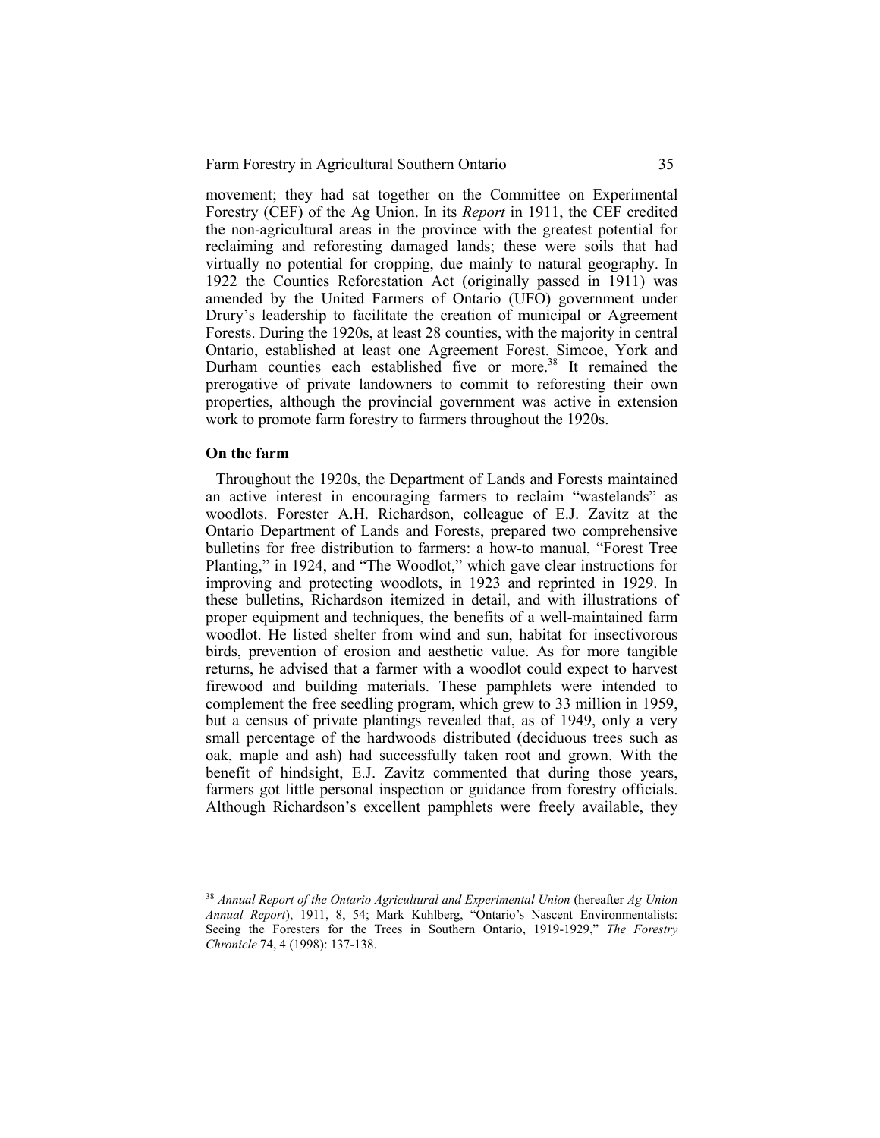movement; they had sat together on the Committee on Experimental Forestry (CEF) of the Ag Union. In its *Report* in 1911, the CEF credited the non-agricultural areas in the province with the greatest potential for reclaiming and reforesting damaged lands; these were soils that had virtually no potential for cropping, due mainly to natural geography. In 1922 the Counties Reforestation Act (originally passed in 1911) was amended by the United Farmers of Ontario (UFO) government under Drury's leadership to facilitate the creation of municipal or Agreement Forests. During the 1920s, at least 28 counties, with the majority in central Ontario, established at least one Agreement Forest. Simcoe, York and Durham counties each established five or more.<sup>38</sup> It remained the prerogative of private landowners to commit to reforesting their own properties, although the provincial government was active in extension work to promote farm forestry to farmers throughout the 1920s.

#### **On the farm**

 $\overline{a}$ 

Throughout the 1920s, the Department of Lands and Forests maintained an active interest in encouraging farmers to reclaim "wastelands" as woodlots. Forester A.H. Richardson, colleague of E.J. Zavitz at the Ontario Department of Lands and Forests, prepared two comprehensive bulletins for free distribution to farmers: a how-to manual, "Forest Tree Planting," in 1924, and "The Woodlot," which gave clear instructions for improving and protecting woodlots, in 1923 and reprinted in 1929. In these bulletins, Richardson itemized in detail, and with illustrations of proper equipment and techniques, the benefits of a well-maintained farm woodlot. He listed shelter from wind and sun, habitat for insectivorous birds, prevention of erosion and aesthetic value. As for more tangible returns, he advised that a farmer with a woodlot could expect to harvest firewood and building materials. These pamphlets were intended to complement the free seedling program, which grew to 33 million in 1959, but a census of private plantings revealed that, as of 1949, only a very small percentage of the hardwoods distributed (deciduous trees such as oak, maple and ash) had successfully taken root and grown. With the benefit of hindsight, E.J. Zavitz commented that during those years, farmers got little personal inspection or guidance from forestry officials. Although Richardson's excellent pamphlets were freely available, they

<sup>38</sup> *Annual Report of the Ontario Agricultural and Experimental Union* (hereafter *Ag Union Annual Report*), 1911, 8, 54; Mark Kuhlberg, "Ontario's Nascent Environmentalists: Seeing the Foresters for the Trees in Southern Ontario, 1919-1929," *The Forestry Chronicle* 74, 4 (1998): 137-138.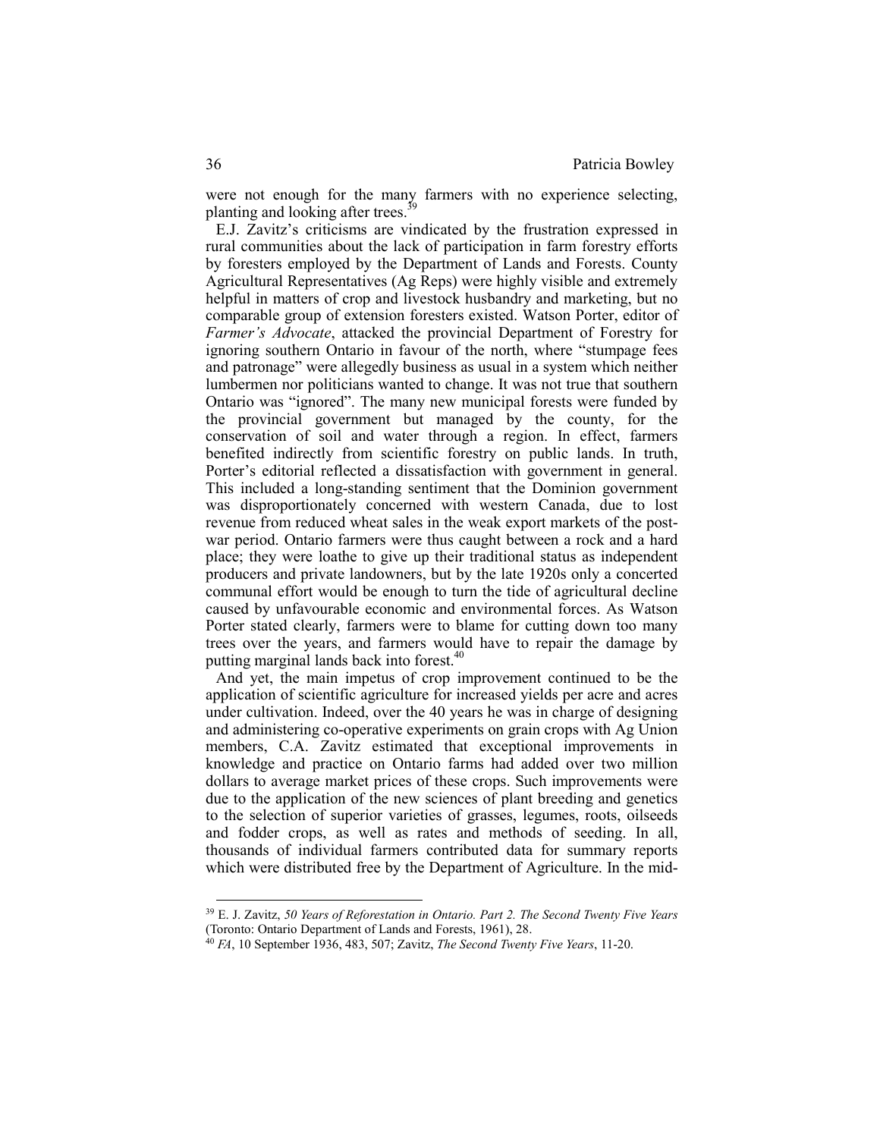were not enough for the many farmers with no experience selecting, planting and looking after trees.<sup>3</sup>

E.J. Zavitz's criticisms are vindicated by the frustration expressed in rural communities about the lack of participation in farm forestry efforts by foresters employed by the Department of Lands and Forests. County Agricultural Representatives (Ag Reps) were highly visible and extremely helpful in matters of crop and livestock husbandry and marketing, but no comparable group of extension foresters existed. Watson Porter, editor of *Farmer's Advocate*, attacked the provincial Department of Forestry for ignoring southern Ontario in favour of the north, where "stumpage fees and patronage" were allegedly business as usual in a system which neither lumbermen nor politicians wanted to change. It was not true that southern Ontario was "ignored". The many new municipal forests were funded by the provincial government but managed by the county, for the conservation of soil and water through a region. In effect, farmers benefited indirectly from scientific forestry on public lands. In truth, Porter's editorial reflected a dissatisfaction with government in general. This included a long-standing sentiment that the Dominion government was disproportionately concerned with western Canada, due to lost revenue from reduced wheat sales in the weak export markets of the postwar period. Ontario farmers were thus caught between a rock and a hard place; they were loathe to give up their traditional status as independent producers and private landowners, but by the late 1920s only a concerted communal effort would be enough to turn the tide of agricultural decline caused by unfavourable economic and environmental forces. As Watson Porter stated clearly, farmers were to blame for cutting down too many trees over the years, and farmers would have to repair the damage by putting marginal lands back into forest.<sup>40</sup>

And yet, the main impetus of crop improvement continued to be the application of scientific agriculture for increased yields per acre and acres under cultivation. Indeed, over the 40 years he was in charge of designing and administering co-operative experiments on grain crops with Ag Union members, C.A. Zavitz estimated that exceptional improvements in knowledge and practice on Ontario farms had added over two million dollars to average market prices of these crops. Such improvements were due to the application of the new sciences of plant breeding and genetics to the selection of superior varieties of grasses, legumes, roots, oilseeds and fodder crops, as well as rates and methods of seeding. In all, thousands of individual farmers contributed data for summary reports which were distributed free by the Department of Agriculture. In the mid-

<sup>39</sup> E. J. Zavitz, *50 Years of Reforestation in Ontario. Part 2. The Second Twenty Five Years* (Toronto: Ontario Department of Lands and Forests, 1961), 28.

<sup>40</sup> *FA*, 10 September 1936, 483, 507; Zavitz, *The Second Twenty Five Years*, 11-20.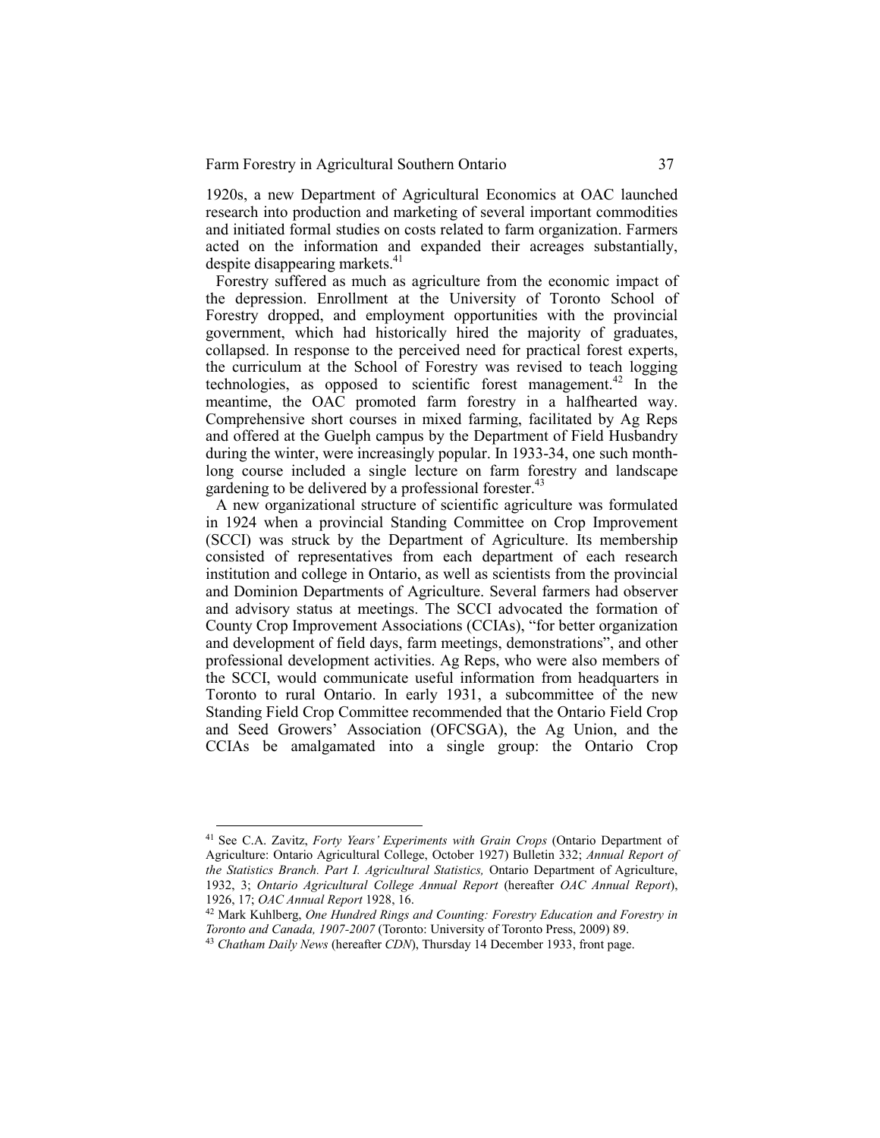1920s, a new Department of Agricultural Economics at OAC launched research into production and marketing of several important commodities and initiated formal studies on costs related to farm organization. Farmers acted on the information and expanded their acreages substantially, despite disappearing markets.<sup>41</sup>

Forestry suffered as much as agriculture from the economic impact of the depression. Enrollment at the University of Toronto School of Forestry dropped, and employment opportunities with the provincial government, which had historically hired the majority of graduates, collapsed. In response to the perceived need for practical forest experts, the curriculum at the School of Forestry was revised to teach logging technologies, as opposed to scientific forest management.<sup>42</sup> In the meantime, the OAC promoted farm forestry in a halfhearted way. Comprehensive short courses in mixed farming, facilitated by Ag Reps and offered at the Guelph campus by the Department of Field Husbandry during the winter, were increasingly popular. In 1933-34, one such monthlong course included a single lecture on farm forestry and landscape gardening to be delivered by a professional forester.<sup>43</sup>

A new organizational structure of scientific agriculture was formulated in 1924 when a provincial Standing Committee on Crop Improvement (SCCI) was struck by the Department of Agriculture. Its membership consisted of representatives from each department of each research institution and college in Ontario, as well as scientists from the provincial and Dominion Departments of Agriculture. Several farmers had observer and advisory status at meetings. The SCCI advocated the formation of County Crop Improvement Associations (CCIAs), "for better organization and development of field days, farm meetings, demonstrations", and other professional development activities. Ag Reps, who were also members of the SCCI, would communicate useful information from headquarters in Toronto to rural Ontario. In early 1931, a subcommittee of the new Standing Field Crop Committee recommended that the Ontario Field Crop and Seed Growers' Association (OFCSGA), the Ag Union, and the CCIAs be amalgamated into a single group: the Ontario Crop

<sup>&</sup>lt;sup>41</sup> See C.A. Zavitz, *Forty Years' Experiments with Grain Crops* (Ontario Department of Agriculture: Ontario Agricultural College, October 1927) Bulletin 332; *Annual Report of the Statistics Branch. Part I. Agricultural Statistics,* Ontario Department of Agriculture, 1932, 3; *Ontario Agricultural College Annual Report* (hereafter *OAC Annual Report*), 1926, 17; *OAC Annual Report* 1928, 16.

<sup>42</sup> Mark Kuhlberg, *One Hundred Rings and Counting: Forestry Education and Forestry in Toronto and Canada, 1907-2007* (Toronto: University of Toronto Press, 2009) 89.

<sup>43</sup> *Chatham Daily News* (hereafter *CDN*), Thursday 14 December 1933, front page.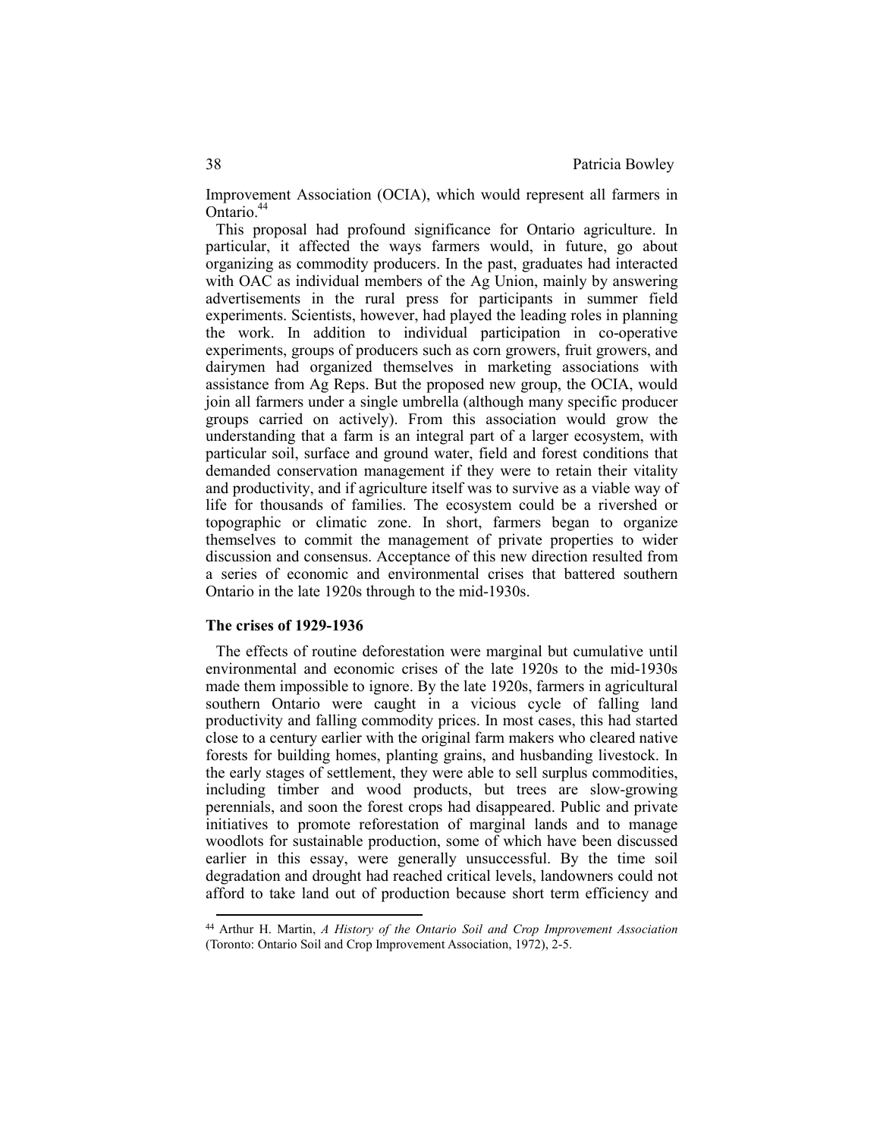Improvement Association (OCIA), which would represent all farmers in Ontario.<sup>44</sup>

This proposal had profound significance for Ontario agriculture. In particular, it affected the ways farmers would, in future, go about organizing as commodity producers. In the past, graduates had interacted with OAC as individual members of the Ag Union, mainly by answering advertisements in the rural press for participants in summer field experiments. Scientists, however, had played the leading roles in planning the work. In addition to individual participation in co-operative experiments, groups of producers such as corn growers, fruit growers, and dairymen had organized themselves in marketing associations with assistance from Ag Reps. But the proposed new group, the OCIA, would join all farmers under a single umbrella (although many specific producer groups carried on actively). From this association would grow the understanding that a farm is an integral part of a larger ecosystem, with particular soil, surface and ground water, field and forest conditions that demanded conservation management if they were to retain their vitality and productivity, and if agriculture itself was to survive as a viable way of life for thousands of families. The ecosystem could be a rivershed or topographic or climatic zone. In short, farmers began to organize themselves to commit the management of private properties to wider discussion and consensus. Acceptance of this new direction resulted from a series of economic and environmental crises that battered southern Ontario in the late 1920s through to the mid-1930s.

#### **The crises of 1929-1936**

 $\overline{a}$ 

The effects of routine deforestation were marginal but cumulative until environmental and economic crises of the late 1920s to the mid-1930s made them impossible to ignore. By the late 1920s, farmers in agricultural southern Ontario were caught in a vicious cycle of falling land productivity and falling commodity prices. In most cases, this had started close to a century earlier with the original farm makers who cleared native forests for building homes, planting grains, and husbanding livestock. In the early stages of settlement, they were able to sell surplus commodities, including timber and wood products, but trees are slow-growing perennials, and soon the forest crops had disappeared. Public and private initiatives to promote reforestation of marginal lands and to manage woodlots for sustainable production, some of which have been discussed earlier in this essay, were generally unsuccessful. By the time soil degradation and drought had reached critical levels, landowners could not afford to take land out of production because short term efficiency and

<sup>44</sup> Arthur H. Martin, *A History of the Ontario Soil and Crop Improvement Association* (Toronto: Ontario Soil and Crop Improvement Association, 1972), 2-5.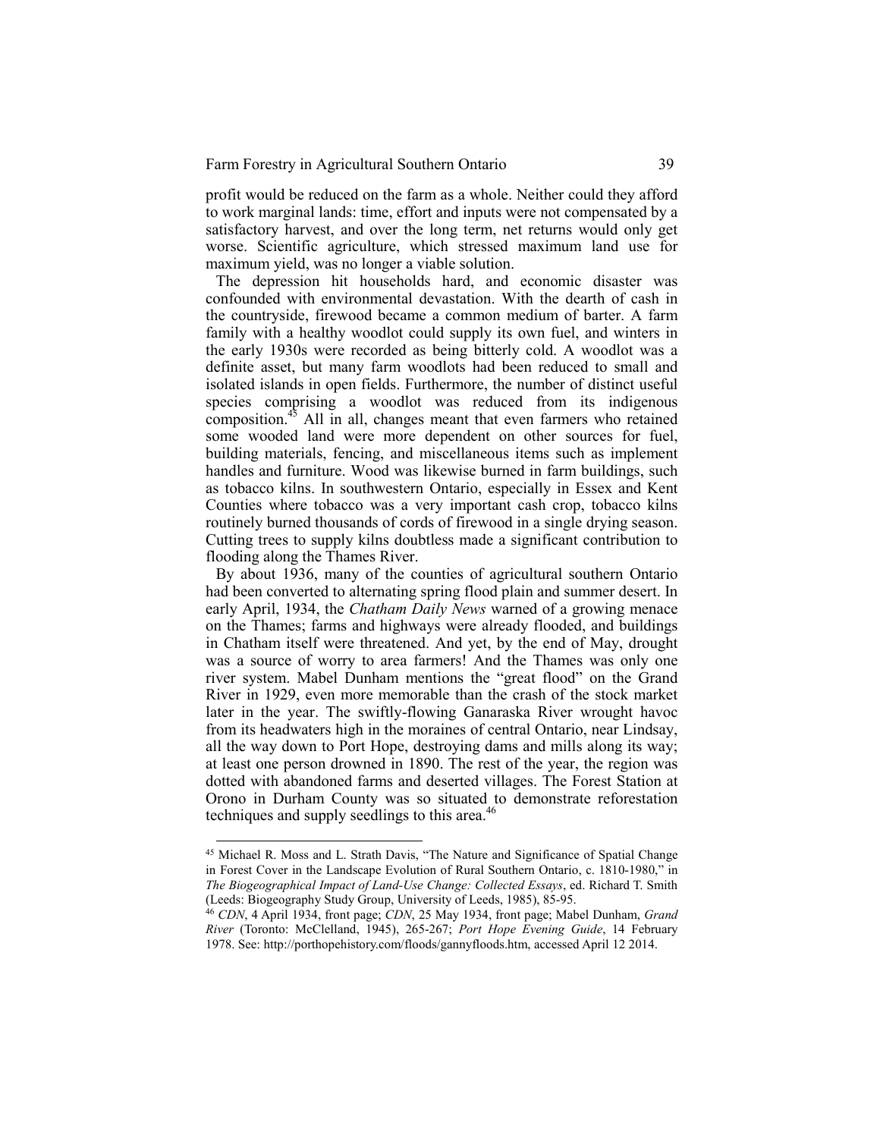profit would be reduced on the farm as a whole. Neither could they afford to work marginal lands: time, effort and inputs were not compensated by a satisfactory harvest, and over the long term, net returns would only get worse. Scientific agriculture, which stressed maximum land use for maximum yield, was no longer a viable solution.

The depression hit households hard, and economic disaster was confounded with environmental devastation. With the dearth of cash in the countryside, firewood became a common medium of barter. A farm family with a healthy woodlot could supply its own fuel, and winters in the early 1930s were recorded as being bitterly cold. A woodlot was a definite asset, but many farm woodlots had been reduced to small and isolated islands in open fields. Furthermore, the number of distinct useful species comprising a woodlot was reduced from its indigenous composition.<sup>45</sup> All in all, changes meant that even farmers who retained some wooded land were more dependent on other sources for fuel, building materials, fencing, and miscellaneous items such as implement handles and furniture. Wood was likewise burned in farm buildings, such as tobacco kilns. In southwestern Ontario, especially in Essex and Kent Counties where tobacco was a very important cash crop, tobacco kilns routinely burned thousands of cords of firewood in a single drying season. Cutting trees to supply kilns doubtless made a significant contribution to flooding along the Thames River.

By about 1936, many of the counties of agricultural southern Ontario had been converted to alternating spring flood plain and summer desert. In early April, 1934, the *Chatham Daily News* warned of a growing menace on the Thames; farms and highways were already flooded, and buildings in Chatham itself were threatened. And yet, by the end of May, drought was a source of worry to area farmers! And the Thames was only one river system. Mabel Dunham mentions the "great flood" on the Grand River in 1929, even more memorable than the crash of the stock market later in the year. The swiftly-flowing Ganaraska River wrought havoc from its headwaters high in the moraines of central Ontario, near Lindsay, all the way down to Port Hope, destroying dams and mills along its way; at least one person drowned in 1890. The rest of the year, the region was dotted with abandoned farms and deserted villages. The Forest Station at Orono in Durham County was so situated to demonstrate reforestation techniques and supply seedlings to this area.<sup>46</sup>

<sup>45</sup> Michael R. Moss and L. Strath Davis, "The Nature and Significance of Spatial Change in Forest Cover in the Landscape Evolution of Rural Southern Ontario, c. 1810-1980," in *The Biogeographical Impact of Land-Use Change: Collected Essays*, ed. Richard T. Smith (Leeds: Biogeography Study Group, University of Leeds, 1985), 85-95.

<sup>46</sup> *CDN*, 4 April 1934, front page; *CDN*, 25 May 1934, front page; Mabel Dunham, *Grand River* (Toronto: McClelland, 1945), 265-267; *Port Hope Evening Guide*, 14 February 1978. See: http://porthopehistory.com/floods/gannyfloods.htm, accessed April 12 2014.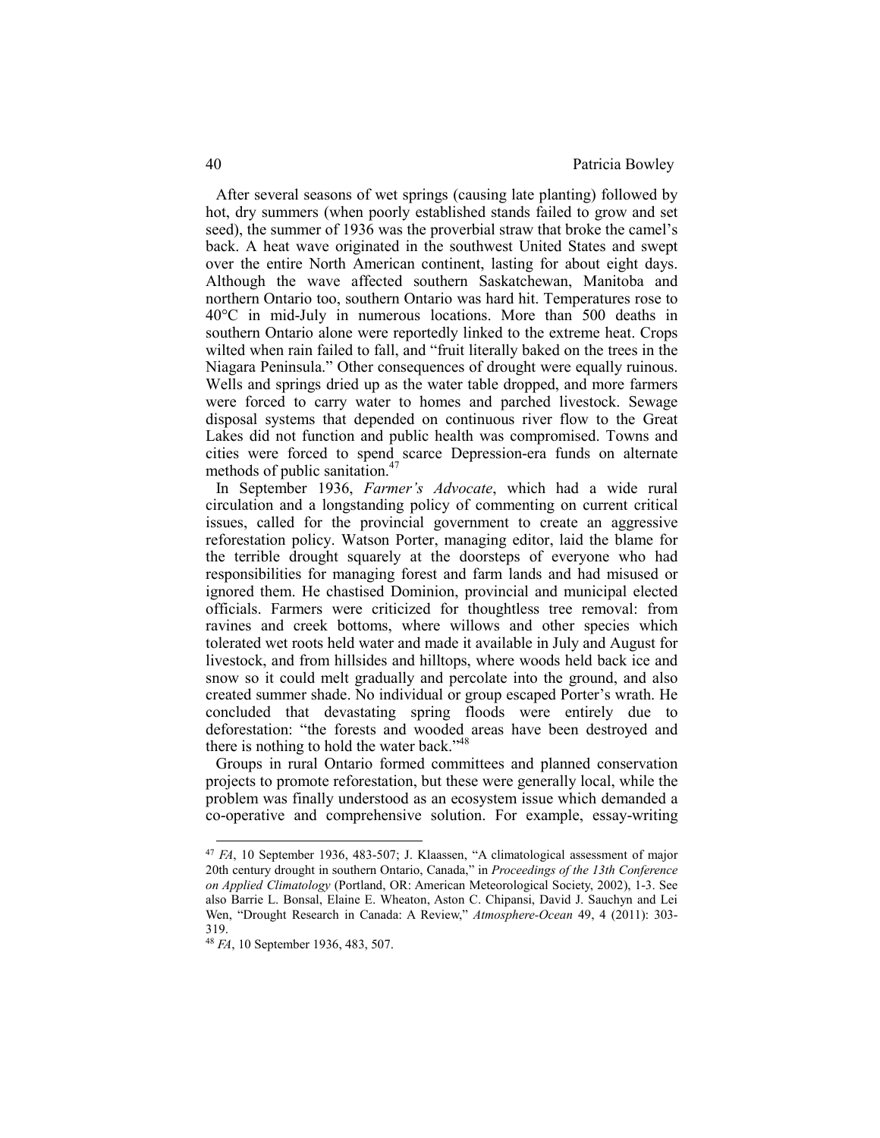After several seasons of wet springs (causing late planting) followed by hot, dry summers (when poorly established stands failed to grow and set seed), the summer of 1936 was the proverbial straw that broke the camel's back. A heat wave originated in the southwest United States and swept over the entire North American continent, lasting for about eight days. Although the wave affected southern Saskatchewan, Manitoba and northern Ontario too, southern Ontario was hard hit. Temperatures rose to 40°C in mid-July in numerous locations. More than 500 deaths in southern Ontario alone were reportedly linked to the extreme heat. Crops wilted when rain failed to fall, and "fruit literally baked on the trees in the Niagara Peninsula." Other consequences of drought were equally ruinous. Wells and springs dried up as the water table dropped, and more farmers were forced to carry water to homes and parched livestock. Sewage disposal systems that depended on continuous river flow to the Great Lakes did not function and public health was compromised. Towns and cities were forced to spend scarce Depression-era funds on alternate methods of public sanitation.<sup>4</sup>

In September 1936, *Farmer's Advocate*, which had a wide rural circulation and a longstanding policy of commenting on current critical issues, called for the provincial government to create an aggressive reforestation policy. Watson Porter, managing editor, laid the blame for the terrible drought squarely at the doorsteps of everyone who had responsibilities for managing forest and farm lands and had misused or ignored them. He chastised Dominion, provincial and municipal elected officials. Farmers were criticized for thoughtless tree removal: from ravines and creek bottoms, where willows and other species which tolerated wet roots held water and made it available in July and August for livestock, and from hillsides and hilltops, where woods held back ice and snow so it could melt gradually and percolate into the ground, and also created summer shade. No individual or group escaped Porter's wrath. He concluded that devastating spring floods were entirely due to deforestation: "the forests and wooded areas have been destroyed and there is nothing to hold the water back."<sup>48</sup>

Groups in rural Ontario formed committees and planned conservation projects to promote reforestation, but these were generally local, while the problem was finally understood as an ecosystem issue which demanded a co-operative and comprehensive solution. For example, essay-writing

<sup>47</sup> *FA*, 10 September 1936, 483-507; J. Klaassen, "A climatological assessment of major 20th century drought in southern Ontario, Canada," in *Proceedings of the 13th Conference on Applied Climatology* (Portland, OR: American Meteorological Society, 2002), 1-3. See also Barrie L. Bonsal, Elaine E. Wheaton, Aston C. Chipansi, David J. Sauchyn and Lei Wen, "Drought Research in Canada: A Review," *Atmosphere-Ocean* 49, 4 (2011): 303- 319.

<sup>48</sup> *FA*, 10 September 1936, 483, 507.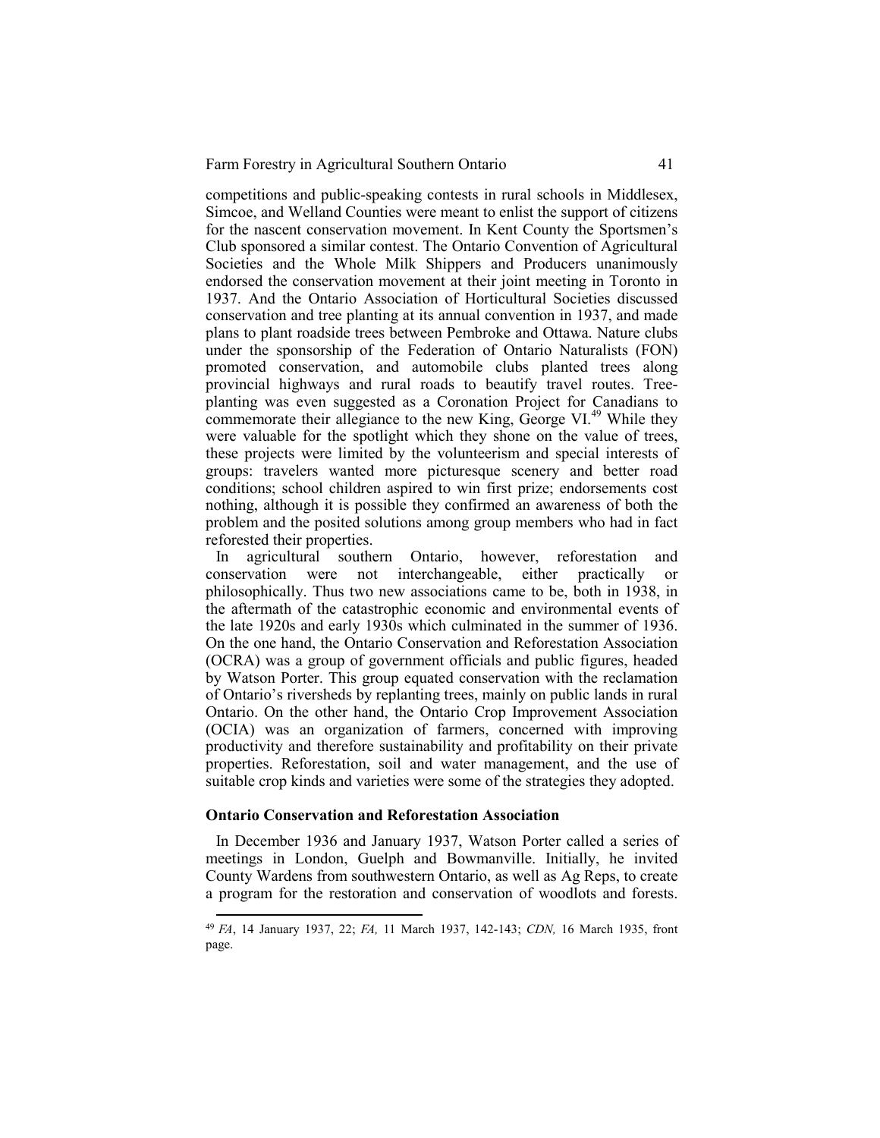competitions and public-speaking contests in rural schools in Middlesex, Simcoe, and Welland Counties were meant to enlist the support of citizens for the nascent conservation movement. In Kent County the Sportsmen's Club sponsored a similar contest. The Ontario Convention of Agricultural Societies and the Whole Milk Shippers and Producers unanimously endorsed the conservation movement at their joint meeting in Toronto in 1937. And the Ontario Association of Horticultural Societies discussed conservation and tree planting at its annual convention in 1937, and made plans to plant roadside trees between Pembroke and Ottawa. Nature clubs under the sponsorship of the Federation of Ontario Naturalists (FON) promoted conservation, and automobile clubs planted trees along provincial highways and rural roads to beautify travel routes. Treeplanting was even suggested as a Coronation Project for Canadians to commemorate their allegiance to the new King, George VI.<sup>49</sup> While they were valuable for the spotlight which they shone on the value of trees, these projects were limited by the volunteerism and special interests of groups: travelers wanted more picturesque scenery and better road conditions; school children aspired to win first prize; endorsements cost nothing, although it is possible they confirmed an awareness of both the problem and the posited solutions among group members who had in fact reforested their properties.

In agricultural southern Ontario, however, reforestation and conservation were not interchangeable, either practically or philosophically. Thus two new associations came to be, both in 1938, in the aftermath of the catastrophic economic and environmental events of the late 1920s and early 1930s which culminated in the summer of 1936. On the one hand, the Ontario Conservation and Reforestation Association (OCRA) was a group of government officials and public figures, headed by Watson Porter. This group equated conservation with the reclamation of Ontario's riversheds by replanting trees, mainly on public lands in rural Ontario. On the other hand, the Ontario Crop Improvement Association (OCIA) was an organization of farmers, concerned with improving productivity and therefore sustainability and profitability on their private properties. Reforestation, soil and water management, and the use of suitable crop kinds and varieties were some of the strategies they adopted.

#### **Ontario Conservation and Reforestation Association**

 $\overline{a}$ 

In December 1936 and January 1937, Watson Porter called a series of meetings in London, Guelph and Bowmanville. Initially, he invited County Wardens from southwestern Ontario, as well as Ag Reps, to create a program for the restoration and conservation of woodlots and forests.

<sup>49</sup>*FA*, 14 January 1937, 22; *FA,* 11 March 1937, 142-143; *CDN,* 16 March 1935, front page.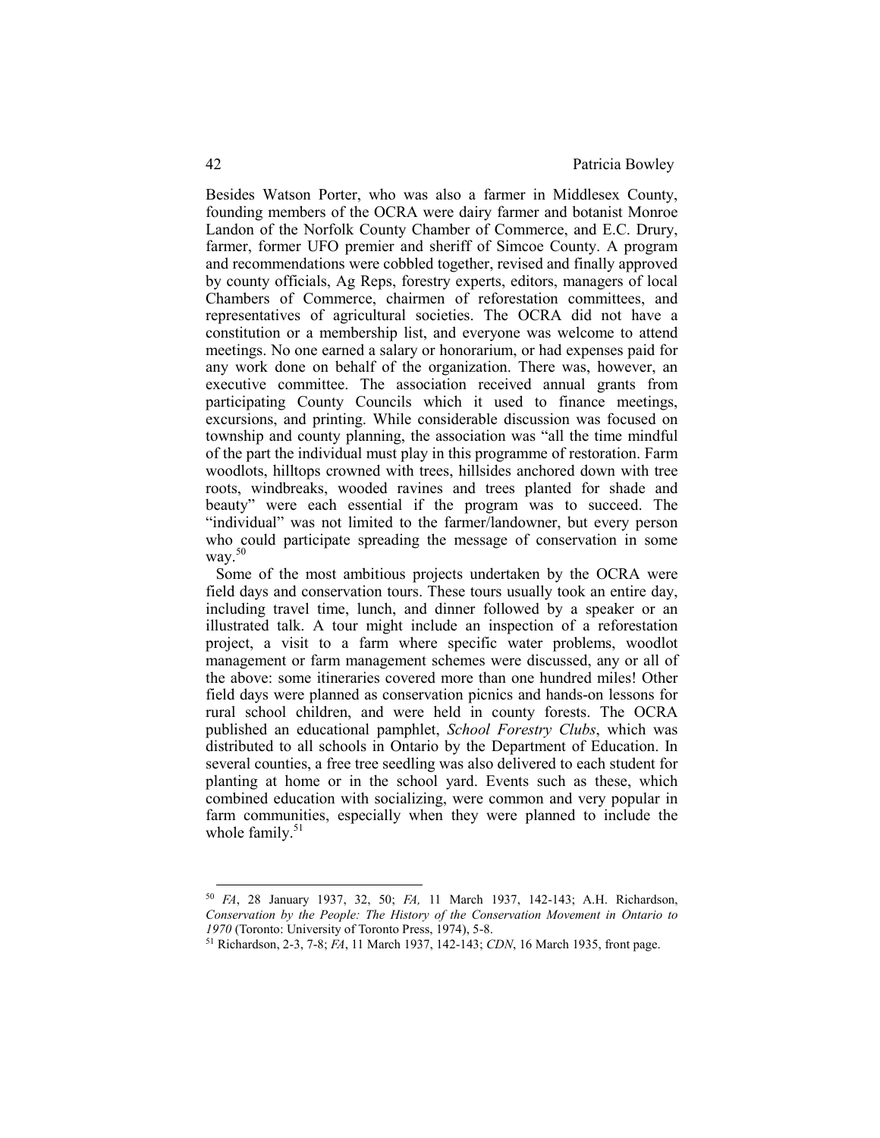Besides Watson Porter, who was also a farmer in Middlesex County, founding members of the OCRA were dairy farmer and botanist Monroe Landon of the Norfolk County Chamber of Commerce, and E.C. Drury, farmer, former UFO premier and sheriff of Simcoe County. A program and recommendations were cobbled together, revised and finally approved by county officials, Ag Reps, forestry experts, editors, managers of local Chambers of Commerce, chairmen of reforestation committees, and representatives of agricultural societies. The OCRA did not have a constitution or a membership list, and everyone was welcome to attend meetings. No one earned a salary or honorarium, or had expenses paid for any work done on behalf of the organization. There was, however, an executive committee. The association received annual grants from participating County Councils which it used to finance meetings, excursions, and printing. While considerable discussion was focused on township and county planning, the association was "all the time mindful of the part the individual must play in this programme of restoration. Farm woodlots, hilltops crowned with trees, hillsides anchored down with tree roots, windbreaks, wooded ravines and trees planted for shade and beauty" were each essential if the program was to succeed. The "individual" was not limited to the farmer/landowner, but every person who could participate spreading the message of conservation in some way. $50$ 

Some of the most ambitious projects undertaken by the OCRA were field days and conservation tours. These tours usually took an entire day, including travel time, lunch, and dinner followed by a speaker or an illustrated talk. A tour might include an inspection of a reforestation project, a visit to a farm where specific water problems, woodlot management or farm management schemes were discussed, any or all of the above: some itineraries covered more than one hundred miles! Other field days were planned as conservation picnics and hands-on lessons for rural school children, and were held in county forests. The OCRA published an educational pamphlet, *School Forestry Clubs*, which was distributed to all schools in Ontario by the Department of Education. In several counties, a free tree seedling was also delivered to each student for planting at home or in the school yard. Events such as these, which combined education with socializing, were common and very popular in farm communities, especially when they were planned to include the whole family. $51$ 

<sup>50</sup> *FA*, 28 January 1937, 32, 50; *FA,* 11 March 1937, 142-143; A.H. Richardson, *Conservation by the People: The History of the Conservation Movement in Ontario to 1970* (Toronto: University of Toronto Press, 1974), 5-8.

<sup>51</sup> Richardson, 2-3, 7-8; *FA*, 11 March 1937, 142-143; *CDN*, 16 March 1935, front page.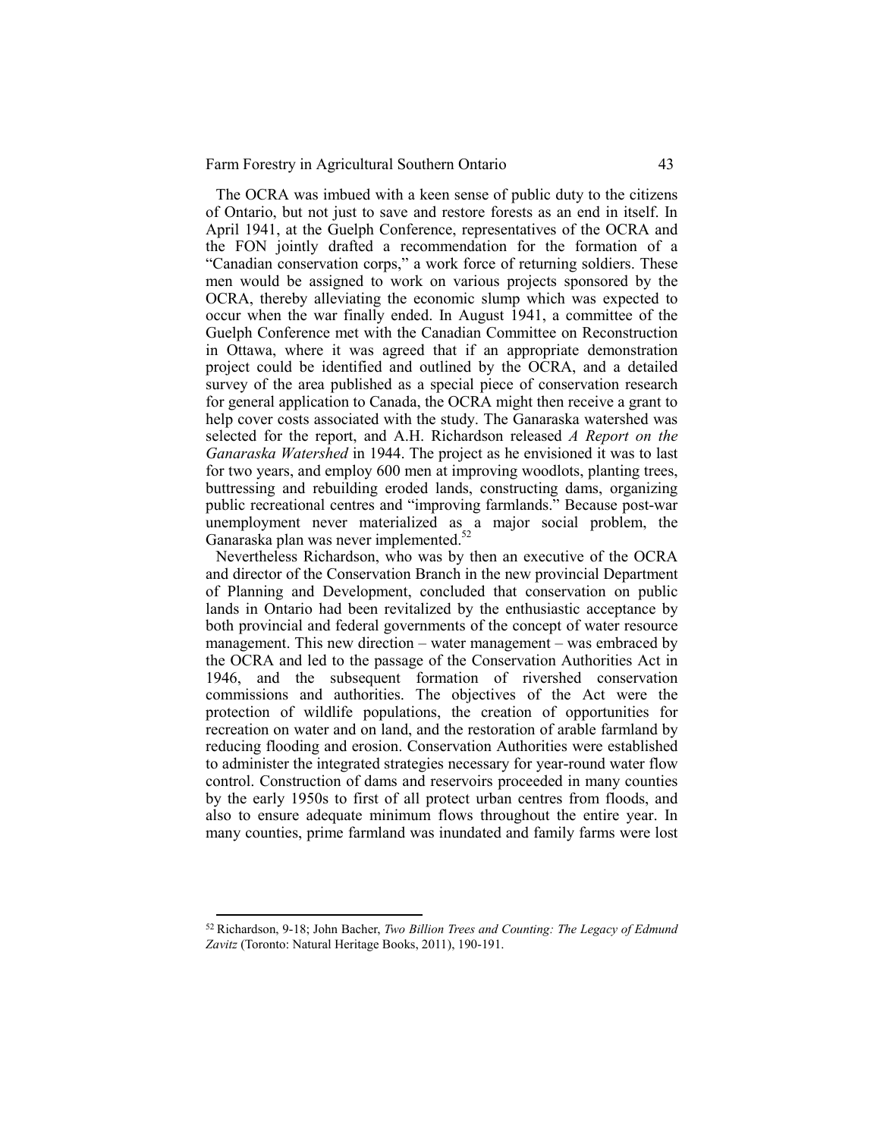The OCRA was imbued with a keen sense of public duty to the citizens of Ontario, but not just to save and restore forests as an end in itself. In April 1941, at the Guelph Conference, representatives of the OCRA and the FON jointly drafted a recommendation for the formation of a "Canadian conservation corps," a work force of returning soldiers. These men would be assigned to work on various projects sponsored by the OCRA, thereby alleviating the economic slump which was expected to occur when the war finally ended. In August 1941, a committee of the Guelph Conference met with the Canadian Committee on Reconstruction in Ottawa, where it was agreed that if an appropriate demonstration project could be identified and outlined by the OCRA, and a detailed survey of the area published as a special piece of conservation research for general application to Canada, the OCRA might then receive a grant to help cover costs associated with the study. The Ganaraska watershed was selected for the report, and A.H. Richardson released *A Report on the Ganaraska Watershed* in 1944. The project as he envisioned it was to last for two years, and employ 600 men at improving woodlots, planting trees, buttressing and rebuilding eroded lands, constructing dams, organizing public recreational centres and "improving farmlands." Because post-war unemployment never materialized as a major social problem, the Ganaraska plan was never implemented.<sup>52</sup>

Nevertheless Richardson, who was by then an executive of the OCRA and director of the Conservation Branch in the new provincial Department of Planning and Development, concluded that conservation on public lands in Ontario had been revitalized by the enthusiastic acceptance by both provincial and federal governments of the concept of water resource management. This new direction – water management – was embraced by the OCRA and led to the passage of the Conservation Authorities Act in 1946, and the subsequent formation of rivershed conservation commissions and authorities. The objectives of the Act were the protection of wildlife populations, the creation of opportunities for recreation on water and on land, and the restoration of arable farmland by reducing flooding and erosion. Conservation Authorities were established to administer the integrated strategies necessary for year-round water flow control. Construction of dams and reservoirs proceeded in many counties by the early 1950s to first of all protect urban centres from floods, and also to ensure adequate minimum flows throughout the entire year. In many counties, prime farmland was inundated and family farms were lost

<sup>52</sup>Richardson, 9-18; John Bacher, *Two Billion Trees and Counting: The Legacy of Edmund Zavitz* (Toronto: Natural Heritage Books, 2011), 190-191.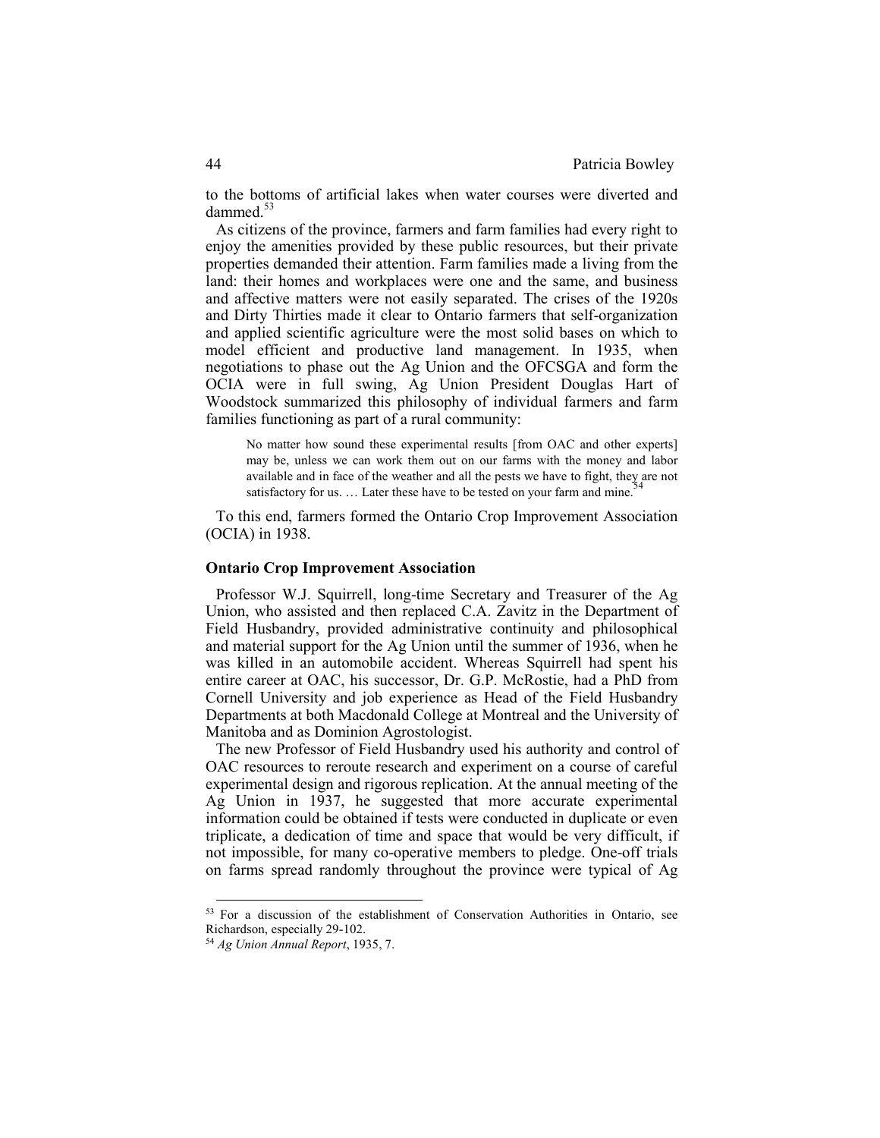to the bottoms of artificial lakes when water courses were diverted and dammed.<sup>53</sup>

As citizens of the province, farmers and farm families had every right to enjoy the amenities provided by these public resources, but their private properties demanded their attention. Farm families made a living from the land: their homes and workplaces were one and the same, and business and affective matters were not easily separated. The crises of the 1920s and Dirty Thirties made it clear to Ontario farmers that self-organization and applied scientific agriculture were the most solid bases on which to model efficient and productive land management. In 1935, when negotiations to phase out the Ag Union and the OFCSGA and form the OCIA were in full swing, Ag Union President Douglas Hart of Woodstock summarized this philosophy of individual farmers and farm families functioning as part of a rural community:

No matter how sound these experimental results [from OAC and other experts] may be, unless we can work them out on our farms with the money and labor available and in face of the weather and all the pests we have to fight, they are not satisfactory for us.  $\dots$  Later these have to be tested on your farm and mine.

To this end, farmers formed the Ontario Crop Improvement Association (OCIA) in 1938.

## **Ontario Crop Improvement Association**

Professor W.J. Squirrell, long-time Secretary and Treasurer of the Ag Union, who assisted and then replaced C.A. Zavitz in the Department of Field Husbandry, provided administrative continuity and philosophical and material support for the Ag Union until the summer of 1936, when he was killed in an automobile accident. Whereas Squirrell had spent his entire career at OAC, his successor, Dr. G.P. McRostie, had a PhD from Cornell University and job experience as Head of the Field Husbandry Departments at both Macdonald College at Montreal and the University of Manitoba and as Dominion Agrostologist.

The new Professor of Field Husbandry used his authority and control of OAC resources to reroute research and experiment on a course of careful experimental design and rigorous replication. At the annual meeting of the Ag Union in 1937, he suggested that more accurate experimental information could be obtained if tests were conducted in duplicate or even triplicate, a dedication of time and space that would be very difficult, if not impossible, for many co-operative members to pledge. One-off trials on farms spread randomly throughout the province were typical of Ag

<sup>53</sup> For a discussion of the establishment of Conservation Authorities in Ontario, see Richardson, especially 29-102.

<sup>54</sup> *Ag Union Annual Report*, 1935, 7.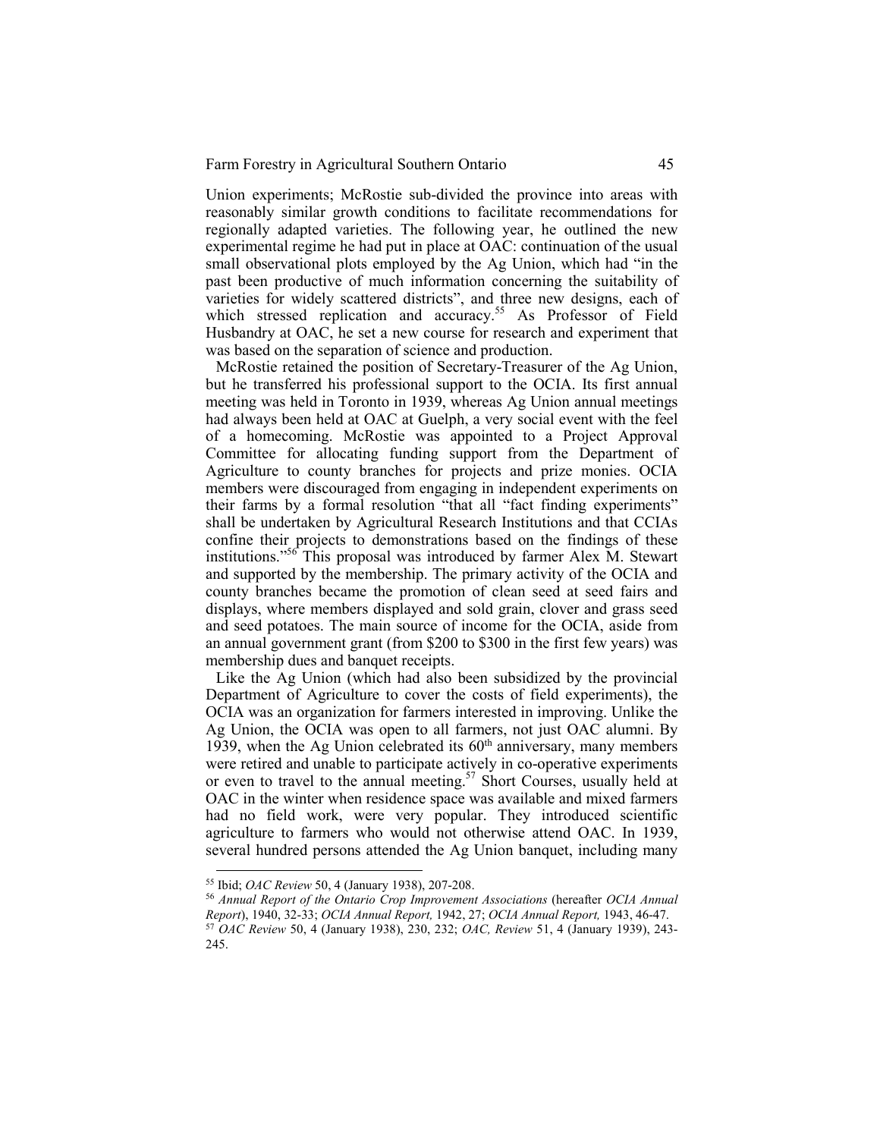Union experiments; McRostie sub-divided the province into areas with reasonably similar growth conditions to facilitate recommendations for regionally adapted varieties. The following year, he outlined the new experimental regime he had put in place at OAC: continuation of the usual small observational plots employed by the Ag Union, which had "in the past been productive of much information concerning the suitability of varieties for widely scattered districts", and three new designs, each of which stressed replication and accuracy.<sup>55</sup> As Professor of Field Husbandry at OAC, he set a new course for research and experiment that was based on the separation of science and production.

McRostie retained the position of Secretary-Treasurer of the Ag Union, but he transferred his professional support to the OCIA. Its first annual meeting was held in Toronto in 1939, whereas Ag Union annual meetings had always been held at OAC at Guelph, a very social event with the feel of a homecoming. McRostie was appointed to a Project Approval Committee for allocating funding support from the Department of Agriculture to county branches for projects and prize monies. OCIA members were discouraged from engaging in independent experiments on their farms by a formal resolution "that all "fact finding experiments" shall be undertaken by Agricultural Research Institutions and that CCIAs confine their projects to demonstrations based on the findings of these institutions."<sup>56</sup> This proposal was introduced by farmer Alex M. Stewart and supported by the membership. The primary activity of the OCIA and county branches became the promotion of clean seed at seed fairs and displays, where members displayed and sold grain, clover and grass seed and seed potatoes. The main source of income for the OCIA, aside from an annual government grant (from \$200 to \$300 in the first few years) was membership dues and banquet receipts.

Like the Ag Union (which had also been subsidized by the provincial Department of Agriculture to cover the costs of field experiments), the OCIA was an organization for farmers interested in improving. Unlike the Ag Union, the OCIA was open to all farmers, not just OAC alumni. By 1939, when the Ag Union celebrated its  $60<sup>th</sup>$  anniversary, many members were retired and unable to participate actively in co-operative experiments or even to travel to the annual meeting.<sup>57</sup> Short Courses, usually held at OAC in the winter when residence space was available and mixed farmers had no field work, were very popular. They introduced scientific agriculture to farmers who would not otherwise attend OAC. In 1939, several hundred persons attended the Ag Union banquet, including many

<sup>55</sup> Ibid; *OAC Review* 50, 4 (January 1938), 207-208.

<sup>56</sup> *Annual Report of the Ontario Crop Improvement Associations* (hereafter *OCIA Annual Report*), 1940, 32-33; *OCIA Annual Report,* 1942, 27; *OCIA Annual Report,* 1943, 46-47. <sup>57</sup> *OAC Review* 50, 4 (January 1938), 230, 232; *OAC, Review* 51, 4 (January 1939), 243- 245.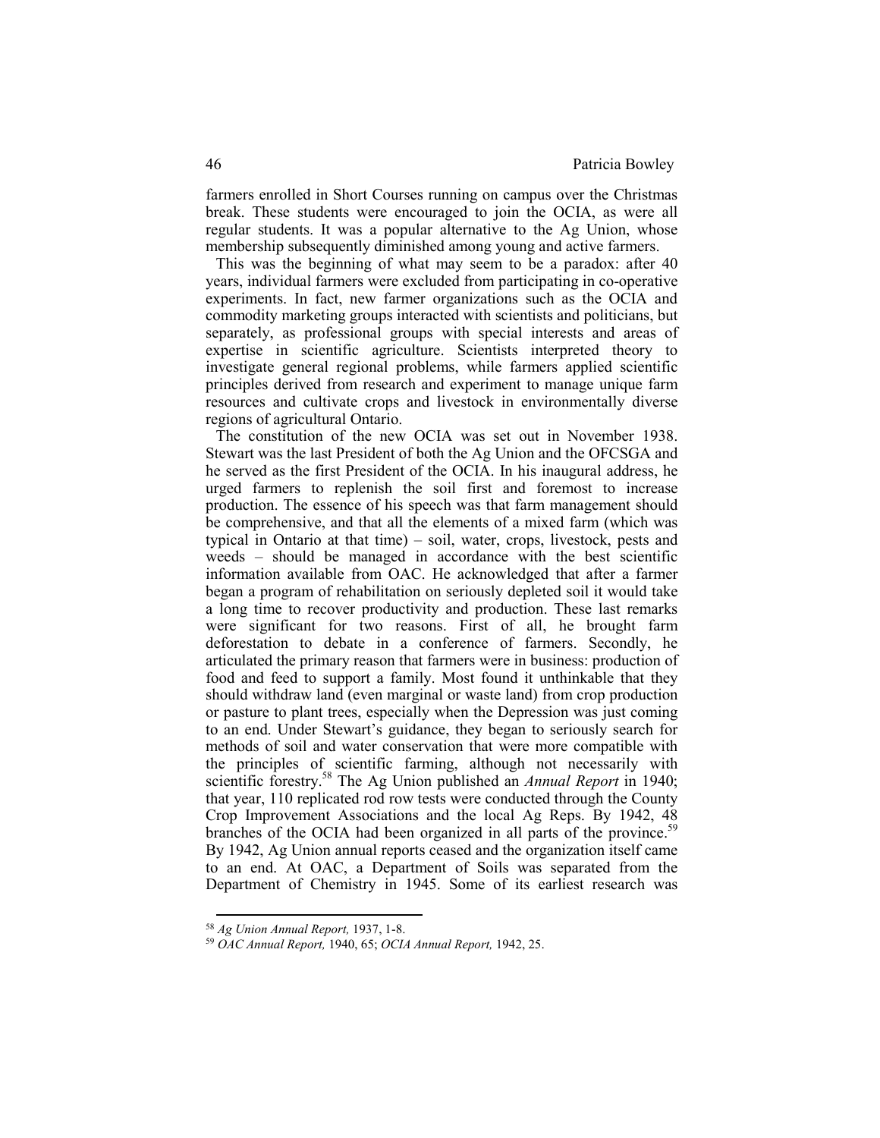farmers enrolled in Short Courses running on campus over the Christmas break. These students were encouraged to join the OCIA, as were all regular students. It was a popular alternative to the Ag Union, whose membership subsequently diminished among young and active farmers.

This was the beginning of what may seem to be a paradox: after 40 years, individual farmers were excluded from participating in co-operative experiments. In fact, new farmer organizations such as the OCIA and commodity marketing groups interacted with scientists and politicians, but separately, as professional groups with special interests and areas of expertise in scientific agriculture. Scientists interpreted theory to investigate general regional problems, while farmers applied scientific principles derived from research and experiment to manage unique farm resources and cultivate crops and livestock in environmentally diverse regions of agricultural Ontario.

The constitution of the new OCIA was set out in November 1938. Stewart was the last President of both the Ag Union and the OFCSGA and he served as the first President of the OCIA. In his inaugural address, he urged farmers to replenish the soil first and foremost to increase production. The essence of his speech was that farm management should be comprehensive, and that all the elements of a mixed farm (which was typical in Ontario at that time) – soil, water, crops, livestock, pests and weeds – should be managed in accordance with the best scientific information available from OAC. He acknowledged that after a farmer began a program of rehabilitation on seriously depleted soil it would take a long time to recover productivity and production. These last remarks were significant for two reasons. First of all, he brought farm deforestation to debate in a conference of farmers. Secondly, he articulated the primary reason that farmers were in business: production of food and feed to support a family. Most found it unthinkable that they should withdraw land (even marginal or waste land) from crop production or pasture to plant trees, especially when the Depression was just coming to an end. Under Stewart's guidance, they began to seriously search for methods of soil and water conservation that were more compatible with the principles of scientific farming, although not necessarily with scientific forestry.<sup>58</sup> The Ag Union published an *Annual Report* in 1940; that year, 110 replicated rod row tests were conducted through the County Crop Improvement Associations and the local Ag Reps. By 1942, 48 branches of the OCIA had been organized in all parts of the province.<sup>59</sup> By 1942, Ag Union annual reports ceased and the organization itself came to an end. At OAC, a Department of Soils was separated from the Department of Chemistry in 1945. Some of its earliest research was

<sup>58</sup> *Ag Union Annual Report,* 1937, 1-8.

<sup>59</sup> *OAC Annual Report,* 1940, 65; *OCIA Annual Report,* 1942, 25.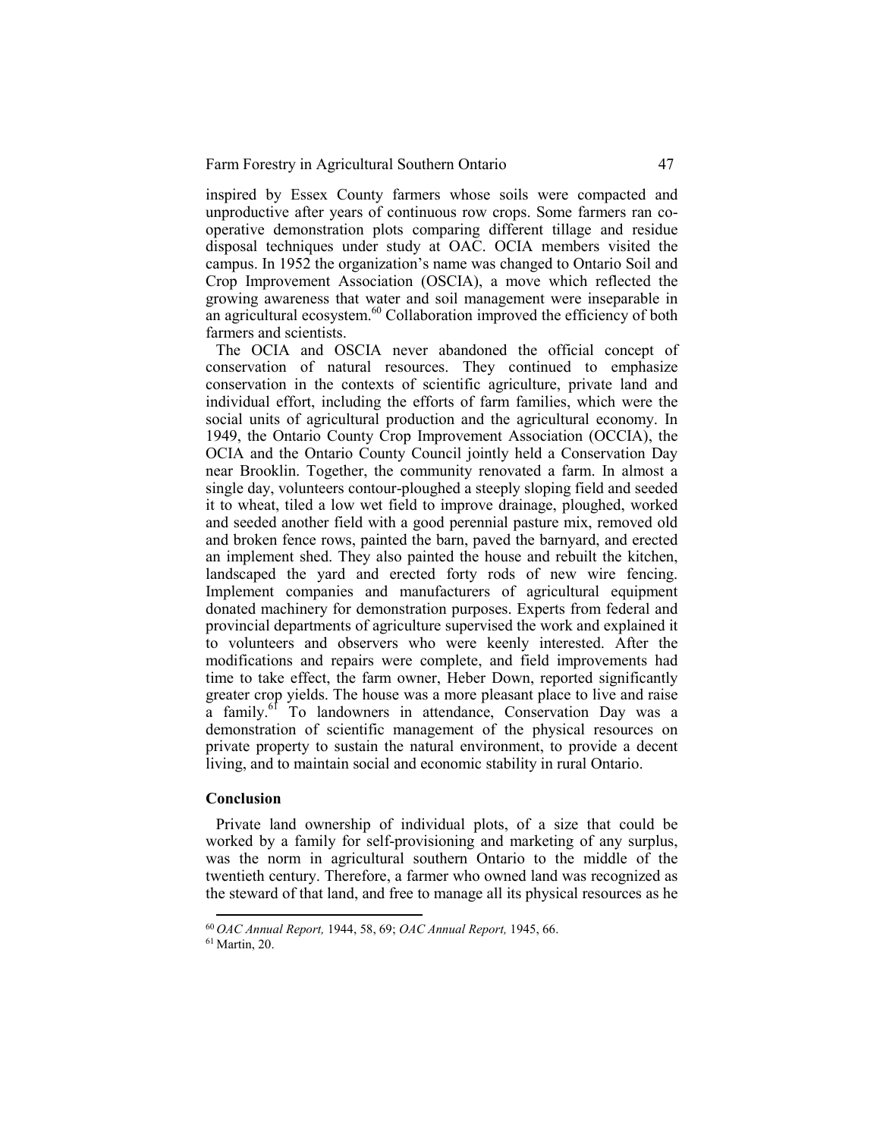inspired by Essex County farmers whose soils were compacted and unproductive after years of continuous row crops. Some farmers ran cooperative demonstration plots comparing different tillage and residue disposal techniques under study at OAC. OCIA members visited the campus. In 1952 the organization's name was changed to Ontario Soil and Crop Improvement Association (OSCIA), a move which reflected the growing awareness that water and soil management were inseparable in an agricultural ecosystem.<sup>60</sup> Collaboration improved the efficiency of both farmers and scientists.

The OCIA and OSCIA never abandoned the official concept of conservation of natural resources. They continued to emphasize conservation in the contexts of scientific agriculture, private land and individual effort, including the efforts of farm families, which were the social units of agricultural production and the agricultural economy. In 1949, the Ontario County Crop Improvement Association (OCCIA), the OCIA and the Ontario County Council jointly held a Conservation Day near Brooklin. Together, the community renovated a farm. In almost a single day, volunteers contour-ploughed a steeply sloping field and seeded it to wheat, tiled a low wet field to improve drainage, ploughed, worked and seeded another field with a good perennial pasture mix, removed old and broken fence rows, painted the barn, paved the barnyard, and erected an implement shed. They also painted the house and rebuilt the kitchen, landscaped the yard and erected forty rods of new wire fencing. Implement companies and manufacturers of agricultural equipment donated machinery for demonstration purposes. Experts from federal and provincial departments of agriculture supervised the work and explained it to volunteers and observers who were keenly interested. After the modifications and repairs were complete, and field improvements had time to take effect, the farm owner, Heber Down, reported significantly greater crop yields. The house was a more pleasant place to live and raise a family.<sup>61</sup> To landowners in attendance, Conservation Day was a demonstration of scientific management of the physical resources on private property to sustain the natural environment, to provide a decent living, and to maintain social and economic stability in rural Ontario.

### **Conclusion**

Private land ownership of individual plots, of a size that could be worked by a family for self-provisioning and marketing of any surplus, was the norm in agricultural southern Ontario to the middle of the twentieth century. Therefore, a farmer who owned land was recognized as the steward of that land, and free to manage all its physical resources as he

<sup>60</sup>*OAC Annual Report,* 1944, 58, 69; *OAC Annual Report,* 1945, 66.

<sup>61</sup> Martin, 20.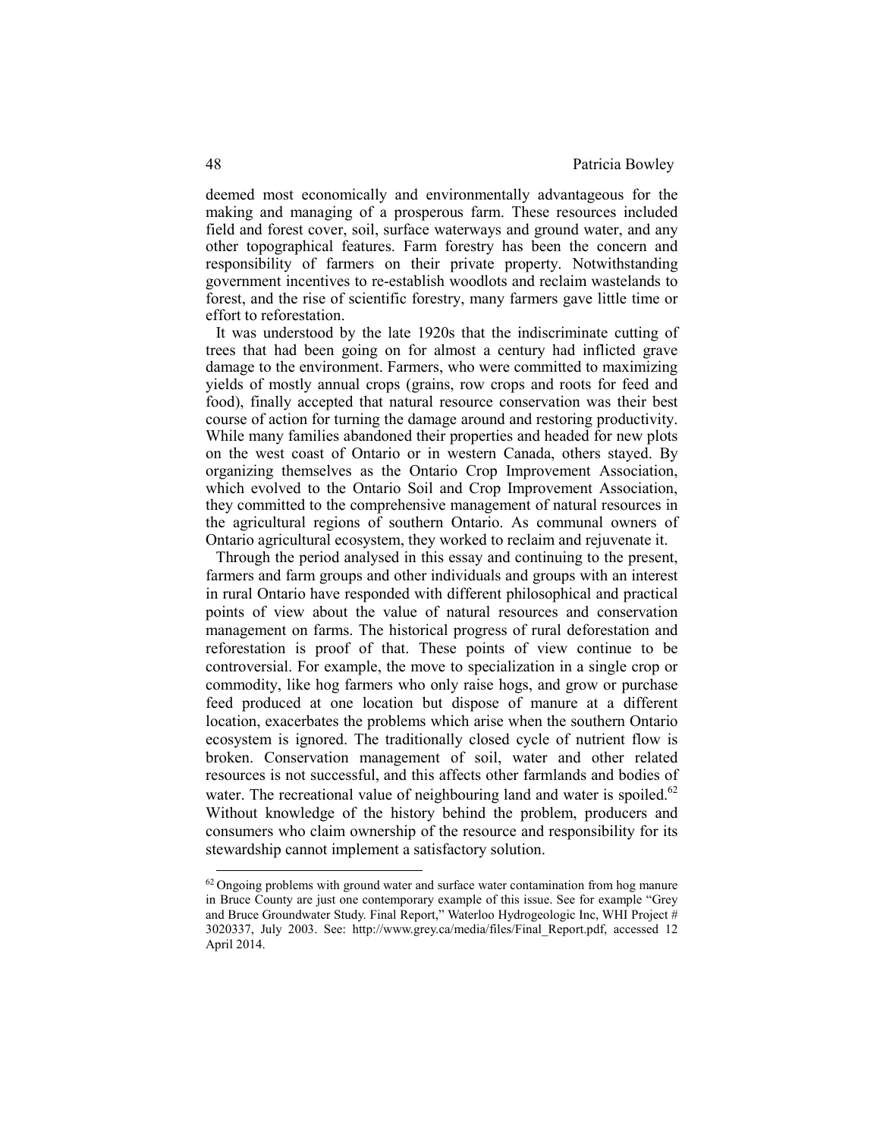deemed most economically and environmentally advantageous for the making and managing of a prosperous farm. These resources included field and forest cover, soil, surface waterways and ground water, and any other topographical features. Farm forestry has been the concern and responsibility of farmers on their private property. Notwithstanding government incentives to re-establish woodlots and reclaim wastelands to forest, and the rise of scientific forestry, many farmers gave little time or effort to reforestation.

It was understood by the late 1920s that the indiscriminate cutting of trees that had been going on for almost a century had inflicted grave damage to the environment. Farmers, who were committed to maximizing yields of mostly annual crops (grains, row crops and roots for feed and food), finally accepted that natural resource conservation was their best course of action for turning the damage around and restoring productivity. While many families abandoned their properties and headed for new plots on the west coast of Ontario or in western Canada, others stayed. By organizing themselves as the Ontario Crop Improvement Association, which evolved to the Ontario Soil and Crop Improvement Association, they committed to the comprehensive management of natural resources in the agricultural regions of southern Ontario. As communal owners of Ontario agricultural ecosystem, they worked to reclaim and rejuvenate it.

Through the period analysed in this essay and continuing to the present, farmers and farm groups and other individuals and groups with an interest in rural Ontario have responded with different philosophical and practical points of view about the value of natural resources and conservation management on farms. The historical progress of rural deforestation and reforestation is proof of that. These points of view continue to be controversial. For example, the move to specialization in a single crop or commodity, like hog farmers who only raise hogs, and grow or purchase feed produced at one location but dispose of manure at a different location, exacerbates the problems which arise when the southern Ontario ecosystem is ignored. The traditionally closed cycle of nutrient flow is broken. Conservation management of soil, water and other related resources is not successful, and this affects other farmlands and bodies of water. The recreational value of neighbouring land and water is spoiled. $62$ Without knowledge of the history behind the problem, producers and consumers who claim ownership of the resource and responsibility for its stewardship cannot implement a satisfactory solution.

 $62$  Ongoing problems with ground water and surface water contamination from hog manure in Bruce County are just one contemporary example of this issue. See for example "Grey and Bruce Groundwater Study. Final Report," Waterloo Hydrogeologic Inc, WHI Project # 3020337, July 2003. See: http://www.grey.ca/media/files/Final\_Report.pdf, accessed 12 April 2014.